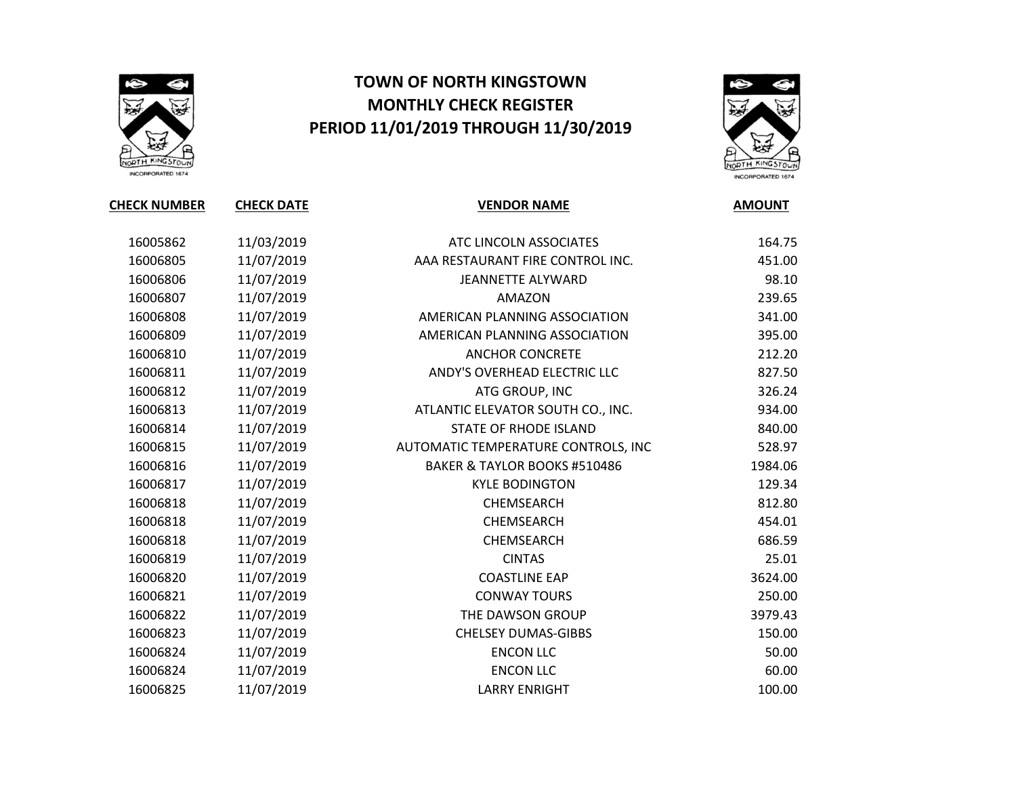

## TOWN OF NORTH KINGSTOWN MONTHLY CHECK REGISTER PERIOD 11/01/2019 THROUGH 11/30/2019



CHECK NUMBER CHECK DATE THE VENDOR NAME AMOUNT 11/03/2019 ATC LINCOLN ASSOCIATES 164.75 11/07/2019 AAA RESTAURANT FIRE CONTROL INC. 451.00 11/07/2019 JEANNETTE ALYWARD 98.10 11/07/2019 AMAZON 239.65 11/07/2019 AMERICAN PLANNING ASSOCIATION 341.00 11/07/2019 AMERICAN PLANNING ASSOCIATION 395.00 11/07/2019 ANCHOR CONCRETE 212.20 11/07/2019 ANDY'S OVERHEAD ELECTRIC LLC 827.50 11/07/2019 ATG GROUP, INC 326.24 11/07/2019 ATLANTIC ELEVATOR SOUTH CO., INC. 934.00 11/07/2019 STATE OF RHODE ISLAND 840.00 11/07/2019 AUTOMATIC TEMPERATURE CONTROLS, INC 528.97 11/07/2019 BAKER & TAYLOR BOOKS #510486 1984.06 11/07/2019 KYLE BODINGTON 129.34 16006818 11/07/2019 CHEMSEARCH 212.80 11/07/2019 CHEMSEARCH 454.01 11/07/2019 CHEMSEARCH 686.59 11/07/2019 CINTAS 25.01 11/07/2019 COASTLINE EAP 3624.00 11/07/2019 CONWAY TOURS 250.00 11/07/2019 THE DAWSON GROUP 3979.43 11/07/2019 CHELSEY DUMAS-GIBBS 150.00 11/07/2019 ENCON LLC 50.00 11/07/2019 ENCON LLC 60.00

11/07/2019 LARRY ENRIGHT 100.00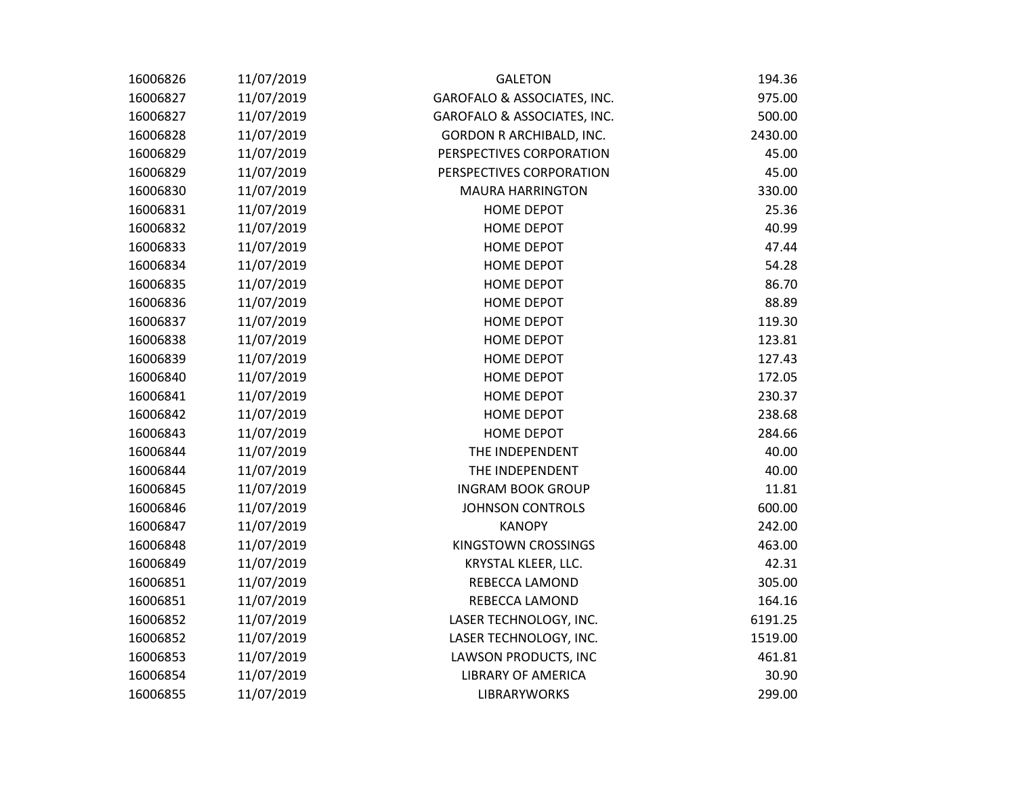| 16006826 | 11/07/2019 | <b>GALETON</b>                  | 194.36  |
|----------|------------|---------------------------------|---------|
| 16006827 | 11/07/2019 | GAROFALO & ASSOCIATES, INC.     | 975.00  |
| 16006827 | 11/07/2019 | GAROFALO & ASSOCIATES, INC.     | 500.00  |
| 16006828 | 11/07/2019 | <b>GORDON R ARCHIBALD, INC.</b> | 2430.00 |
| 16006829 | 11/07/2019 | PERSPECTIVES CORPORATION        | 45.00   |
| 16006829 | 11/07/2019 | PERSPECTIVES CORPORATION        | 45.00   |
| 16006830 | 11/07/2019 | <b>MAURA HARRINGTON</b>         | 330.00  |
| 16006831 | 11/07/2019 | HOME DEPOT                      | 25.36   |
| 16006832 | 11/07/2019 | <b>HOME DEPOT</b>               | 40.99   |
| 16006833 | 11/07/2019 | <b>HOME DEPOT</b>               | 47.44   |
| 16006834 | 11/07/2019 | <b>HOME DEPOT</b>               | 54.28   |
| 16006835 | 11/07/2019 | <b>HOME DEPOT</b>               | 86.70   |
| 16006836 | 11/07/2019 | <b>HOME DEPOT</b>               | 88.89   |
| 16006837 | 11/07/2019 | <b>HOME DEPOT</b>               | 119.30  |
| 16006838 | 11/07/2019 | <b>HOME DEPOT</b>               | 123.81  |
| 16006839 | 11/07/2019 | <b>HOME DEPOT</b>               | 127.43  |
| 16006840 | 11/07/2019 | <b>HOME DEPOT</b>               | 172.05  |
| 16006841 | 11/07/2019 | <b>HOME DEPOT</b>               | 230.37  |
| 16006842 | 11/07/2019 | <b>HOME DEPOT</b>               | 238.68  |
| 16006843 | 11/07/2019 | <b>HOME DEPOT</b>               | 284.66  |
| 16006844 | 11/07/2019 | THE INDEPENDENT                 | 40.00   |
| 16006844 | 11/07/2019 | THE INDEPENDENT                 | 40.00   |
| 16006845 | 11/07/2019 | <b>INGRAM BOOK GROUP</b>        | 11.81   |
| 16006846 | 11/07/2019 | <b>JOHNSON CONTROLS</b>         | 600.00  |
| 16006847 | 11/07/2019 | <b>KANOPY</b>                   | 242.00  |
| 16006848 | 11/07/2019 | KINGSTOWN CROSSINGS             | 463.00  |
| 16006849 | 11/07/2019 | KRYSTAL KLEER, LLC.             | 42.31   |
| 16006851 | 11/07/2019 | REBECCA LAMOND                  | 305.00  |
| 16006851 | 11/07/2019 | REBECCA LAMOND                  | 164.16  |
| 16006852 | 11/07/2019 | LASER TECHNOLOGY, INC.          | 6191.25 |
| 16006852 | 11/07/2019 | LASER TECHNOLOGY, INC.          | 1519.00 |
| 16006853 | 11/07/2019 | <b>LAWSON PRODUCTS, INC</b>     | 461.81  |
| 16006854 | 11/07/2019 | <b>LIBRARY OF AMERICA</b>       | 30.90   |
| 16006855 | 11/07/2019 | <b>LIBRARYWORKS</b>             | 299.00  |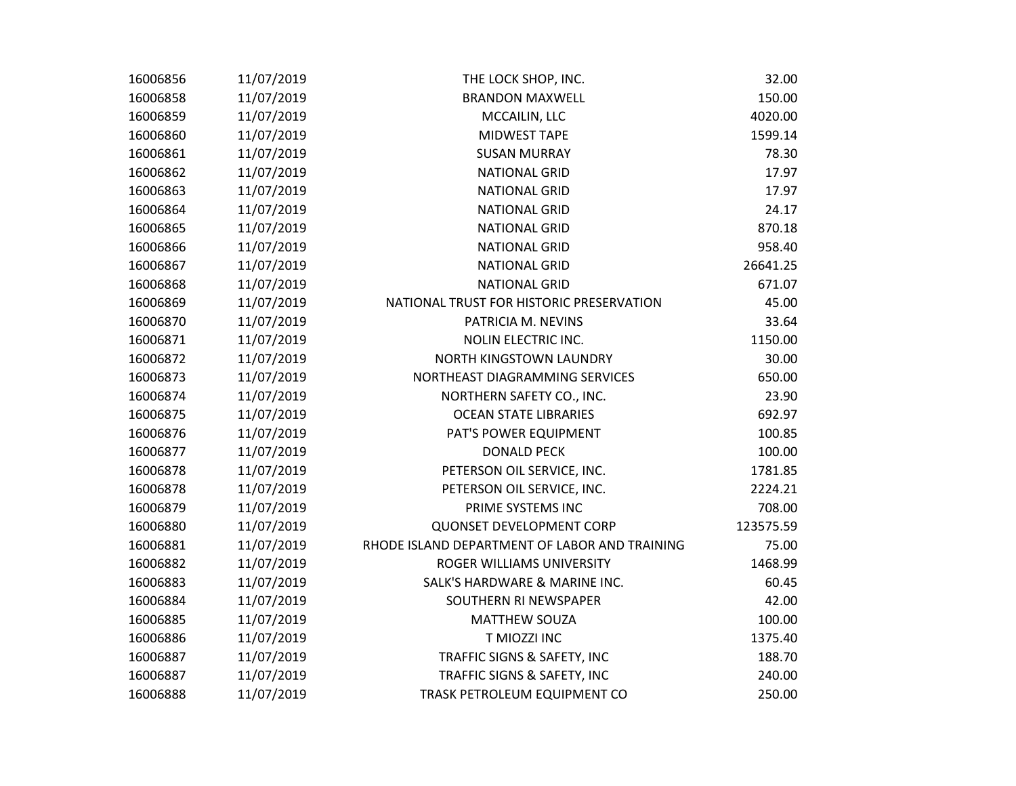| 16006856 | 11/07/2019 | THE LOCK SHOP, INC.                           | 32.00     |
|----------|------------|-----------------------------------------------|-----------|
| 16006858 | 11/07/2019 | <b>BRANDON MAXWELL</b>                        | 150.00    |
| 16006859 | 11/07/2019 | MCCAILIN, LLC                                 | 4020.00   |
| 16006860 | 11/07/2019 | <b>MIDWEST TAPE</b>                           | 1599.14   |
| 16006861 | 11/07/2019 | <b>SUSAN MURRAY</b>                           | 78.30     |
| 16006862 | 11/07/2019 | <b>NATIONAL GRID</b>                          | 17.97     |
| 16006863 | 11/07/2019 | <b>NATIONAL GRID</b>                          | 17.97     |
| 16006864 | 11/07/2019 | <b>NATIONAL GRID</b>                          | 24.17     |
| 16006865 | 11/07/2019 | <b>NATIONAL GRID</b>                          | 870.18    |
| 16006866 | 11/07/2019 | <b>NATIONAL GRID</b>                          | 958.40    |
| 16006867 | 11/07/2019 | <b>NATIONAL GRID</b>                          | 26641.25  |
| 16006868 | 11/07/2019 | <b>NATIONAL GRID</b>                          | 671.07    |
| 16006869 | 11/07/2019 | NATIONAL TRUST FOR HISTORIC PRESERVATION      | 45.00     |
| 16006870 | 11/07/2019 | PATRICIA M. NEVINS                            | 33.64     |
| 16006871 | 11/07/2019 | <b>NOLIN ELECTRIC INC.</b>                    | 1150.00   |
| 16006872 | 11/07/2019 | NORTH KINGSTOWN LAUNDRY                       | 30.00     |
| 16006873 | 11/07/2019 | NORTHEAST DIAGRAMMING SERVICES                | 650.00    |
| 16006874 | 11/07/2019 | NORTHERN SAFETY CO., INC.                     | 23.90     |
| 16006875 | 11/07/2019 | <b>OCEAN STATE LIBRARIES</b>                  | 692.97    |
| 16006876 | 11/07/2019 | PAT'S POWER EQUIPMENT                         | 100.85    |
| 16006877 | 11/07/2019 | <b>DONALD PECK</b>                            | 100.00    |
| 16006878 | 11/07/2019 | PETERSON OIL SERVICE, INC.                    | 1781.85   |
| 16006878 | 11/07/2019 | PETERSON OIL SERVICE, INC.                    | 2224.21   |
| 16006879 | 11/07/2019 | PRIME SYSTEMS INC                             | 708.00    |
| 16006880 | 11/07/2019 | <b>QUONSET DEVELOPMENT CORP</b>               | 123575.59 |
| 16006881 | 11/07/2019 | RHODE ISLAND DEPARTMENT OF LABOR AND TRAINING | 75.00     |
| 16006882 | 11/07/2019 | ROGER WILLIAMS UNIVERSITY                     | 1468.99   |
| 16006883 | 11/07/2019 | SALK'S HARDWARE & MARINE INC.                 | 60.45     |
| 16006884 | 11/07/2019 | SOUTHERN RI NEWSPAPER                         | 42.00     |
| 16006885 | 11/07/2019 | <b>MATTHEW SOUZA</b>                          | 100.00    |
| 16006886 | 11/07/2019 | T MIOZZI INC                                  | 1375.40   |
| 16006887 | 11/07/2019 | TRAFFIC SIGNS & SAFETY, INC                   | 188.70    |
| 16006887 | 11/07/2019 | TRAFFIC SIGNS & SAFETY, INC                   | 240.00    |
| 16006888 | 11/07/2019 | TRASK PETROLEUM EQUIPMENT CO                  | 250.00    |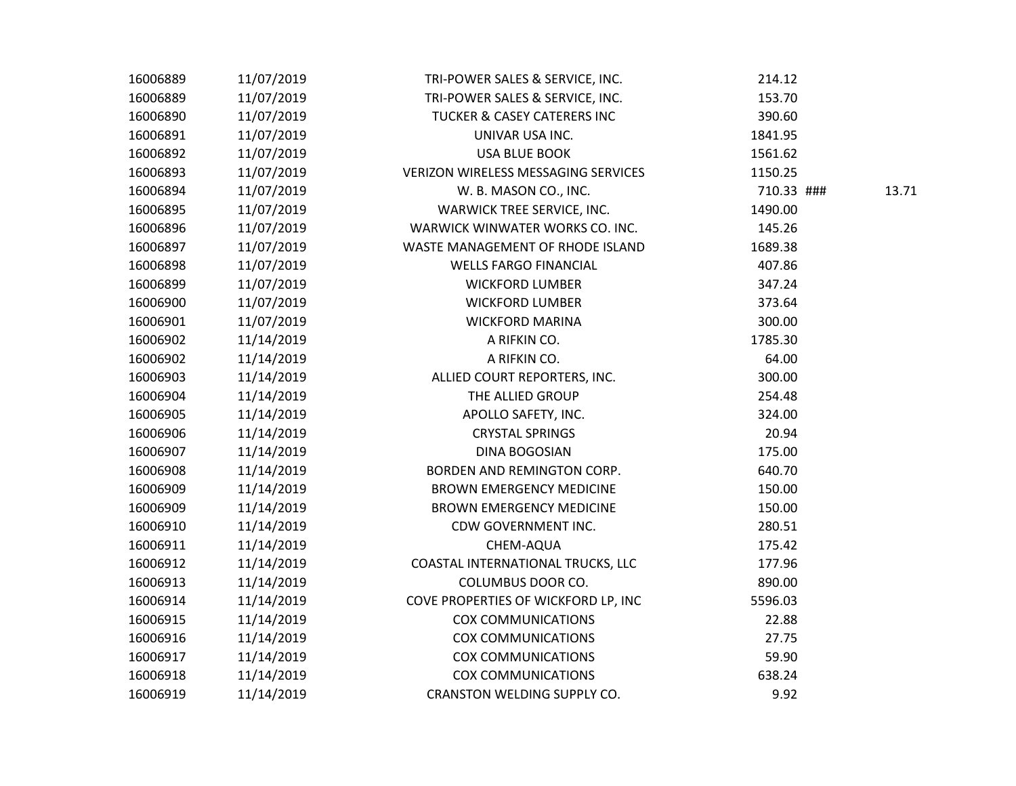| 16006889 | 11/07/2019 | TRI-POWER SALES & SERVICE, INC.        | 214.12     |       |
|----------|------------|----------------------------------------|------------|-------|
| 16006889 | 11/07/2019 | TRI-POWER SALES & SERVICE, INC.        | 153.70     |       |
| 16006890 | 11/07/2019 | <b>TUCKER &amp; CASEY CATERERS INC</b> | 390.60     |       |
| 16006891 | 11/07/2019 | UNIVAR USA INC.                        | 1841.95    |       |
| 16006892 | 11/07/2019 | <b>USA BLUE BOOK</b>                   | 1561.62    |       |
| 16006893 | 11/07/2019 | VERIZON WIRELESS MESSAGING SERVICES    | 1150.25    |       |
| 16006894 | 11/07/2019 | W. B. MASON CO., INC.                  | 710.33 ### | 13.71 |
| 16006895 | 11/07/2019 | WARWICK TREE SERVICE, INC.             | 1490.00    |       |
| 16006896 | 11/07/2019 | WARWICK WINWATER WORKS CO. INC.        | 145.26     |       |
| 16006897 | 11/07/2019 | WASTE MANAGEMENT OF RHODE ISLAND       | 1689.38    |       |
| 16006898 | 11/07/2019 | <b>WELLS FARGO FINANCIAL</b>           | 407.86     |       |
| 16006899 | 11/07/2019 | <b>WICKFORD LUMBER</b>                 | 347.24     |       |
| 16006900 | 11/07/2019 | <b>WICKFORD LUMBER</b>                 | 373.64     |       |
| 16006901 | 11/07/2019 | <b>WICKFORD MARINA</b>                 | 300.00     |       |
| 16006902 | 11/14/2019 | A RIFKIN CO.                           | 1785.30    |       |
| 16006902 | 11/14/2019 | A RIFKIN CO.                           | 64.00      |       |
| 16006903 | 11/14/2019 | ALLIED COURT REPORTERS, INC.           | 300.00     |       |
| 16006904 | 11/14/2019 | THE ALLIED GROUP                       | 254.48     |       |
| 16006905 | 11/14/2019 | APOLLO SAFETY, INC.                    | 324.00     |       |
| 16006906 | 11/14/2019 | <b>CRYSTAL SPRINGS</b>                 | 20.94      |       |
| 16006907 | 11/14/2019 | <b>DINA BOGOSIAN</b>                   | 175.00     |       |
| 16006908 | 11/14/2019 | BORDEN AND REMINGTON CORP.             | 640.70     |       |
| 16006909 | 11/14/2019 | <b>BROWN EMERGENCY MEDICINE</b>        | 150.00     |       |
| 16006909 | 11/14/2019 | <b>BROWN EMERGENCY MEDICINE</b>        | 150.00     |       |
| 16006910 | 11/14/2019 | CDW GOVERNMENT INC.                    | 280.51     |       |
| 16006911 | 11/14/2019 | CHEM-AQUA                              | 175.42     |       |
| 16006912 | 11/14/2019 | COASTAL INTERNATIONAL TRUCKS, LLC      | 177.96     |       |
| 16006913 | 11/14/2019 | COLUMBUS DOOR CO.                      | 890.00     |       |
| 16006914 | 11/14/2019 | COVE PROPERTIES OF WICKFORD LP, INC    | 5596.03    |       |
| 16006915 | 11/14/2019 | <b>COX COMMUNICATIONS</b>              | 22.88      |       |
| 16006916 | 11/14/2019 | <b>COX COMMUNICATIONS</b>              | 27.75      |       |
| 16006917 | 11/14/2019 | <b>COX COMMUNICATIONS</b>              | 59.90      |       |
| 16006918 | 11/14/2019 | <b>COX COMMUNICATIONS</b>              | 638.24     |       |
| 16006919 | 11/14/2019 | CRANSTON WELDING SUPPLY CO.            | 9.92       |       |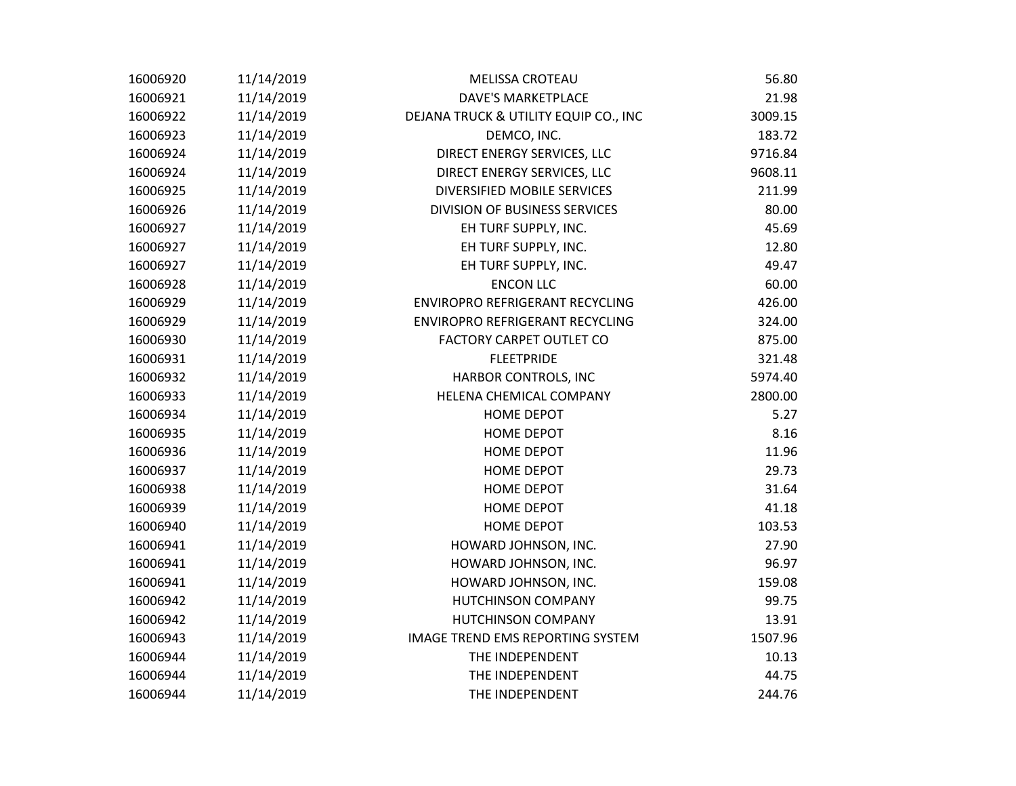| 16006920 | 11/14/2019 | <b>MELISSA CROTEAU</b>                  | 56.80   |
|----------|------------|-----------------------------------------|---------|
| 16006921 | 11/14/2019 | <b>DAVE'S MARKETPLACE</b>               | 21.98   |
| 16006922 | 11/14/2019 | DEJANA TRUCK & UTILITY EQUIP CO., INC   | 3009.15 |
| 16006923 | 11/14/2019 | DEMCO, INC.                             | 183.72  |
| 16006924 | 11/14/2019 | DIRECT ENERGY SERVICES, LLC             | 9716.84 |
| 16006924 | 11/14/2019 | DIRECT ENERGY SERVICES, LLC             | 9608.11 |
| 16006925 | 11/14/2019 | DIVERSIFIED MOBILE SERVICES             | 211.99  |
| 16006926 | 11/14/2019 | DIVISION OF BUSINESS SERVICES           | 80.00   |
| 16006927 | 11/14/2019 | EH TURF SUPPLY, INC.                    | 45.69   |
| 16006927 | 11/14/2019 | EH TURF SUPPLY, INC.                    | 12.80   |
| 16006927 | 11/14/2019 | EH TURF SUPPLY, INC.                    | 49.47   |
| 16006928 | 11/14/2019 | <b>ENCON LLC</b>                        | 60.00   |
| 16006929 | 11/14/2019 | ENVIROPRO REFRIGERANT RECYCLING         | 426.00  |
| 16006929 | 11/14/2019 | <b>ENVIROPRO REFRIGERANT RECYCLING</b>  | 324.00  |
| 16006930 | 11/14/2019 | <b>FACTORY CARPET OUTLET CO</b>         | 875.00  |
| 16006931 | 11/14/2019 | <b>FLEETPRIDE</b>                       | 321.48  |
| 16006932 | 11/14/2019 | HARBOR CONTROLS, INC                    | 5974.40 |
| 16006933 | 11/14/2019 | HELENA CHEMICAL COMPANY                 | 2800.00 |
| 16006934 | 11/14/2019 | <b>HOME DEPOT</b>                       | 5.27    |
| 16006935 | 11/14/2019 | <b>HOME DEPOT</b>                       | 8.16    |
| 16006936 | 11/14/2019 | <b>HOME DEPOT</b>                       | 11.96   |
| 16006937 | 11/14/2019 | <b>HOME DEPOT</b>                       | 29.73   |
| 16006938 | 11/14/2019 | <b>HOME DEPOT</b>                       | 31.64   |
| 16006939 | 11/14/2019 | <b>HOME DEPOT</b>                       | 41.18   |
| 16006940 | 11/14/2019 | <b>HOME DEPOT</b>                       | 103.53  |
| 16006941 | 11/14/2019 | HOWARD JOHNSON, INC.                    | 27.90   |
| 16006941 | 11/14/2019 | HOWARD JOHNSON, INC.                    | 96.97   |
| 16006941 | 11/14/2019 | HOWARD JOHNSON, INC.                    | 159.08  |
| 16006942 | 11/14/2019 | <b>HUTCHINSON COMPANY</b>               | 99.75   |
| 16006942 | 11/14/2019 | HUTCHINSON COMPANY                      | 13.91   |
| 16006943 | 11/14/2019 | <b>IMAGE TREND EMS REPORTING SYSTEM</b> | 1507.96 |
| 16006944 | 11/14/2019 | THE INDEPENDENT                         | 10.13   |
| 16006944 | 11/14/2019 | THE INDEPENDENT                         | 44.75   |
| 16006944 | 11/14/2019 | THE INDEPENDENT                         | 244.76  |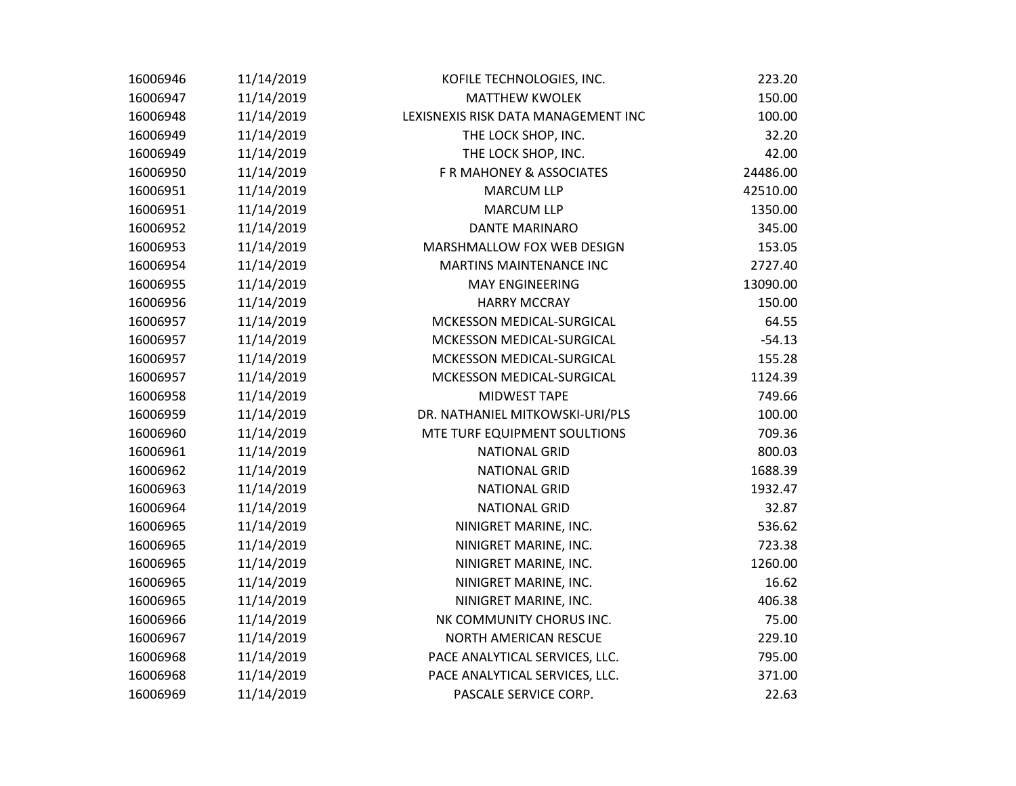| 16006946 | 11/14/2019 | KOFILE TECHNOLOGIES, INC.           | 223.20   |
|----------|------------|-------------------------------------|----------|
| 16006947 | 11/14/2019 | <b>MATTHEW KWOLEK</b>               | 150.00   |
| 16006948 | 11/14/2019 | LEXISNEXIS RISK DATA MANAGEMENT INC | 100.00   |
| 16006949 | 11/14/2019 | THE LOCK SHOP, INC.                 | 32.20    |
| 16006949 | 11/14/2019 | THE LOCK SHOP, INC.                 | 42.00    |
| 16006950 | 11/14/2019 | F R MAHONEY & ASSOCIATES            | 24486.00 |
| 16006951 | 11/14/2019 | <b>MARCUM LLP</b>                   | 42510.00 |
| 16006951 | 11/14/2019 | <b>MARCUM LLP</b>                   | 1350.00  |
| 16006952 | 11/14/2019 | <b>DANTE MARINARO</b>               | 345.00   |
| 16006953 | 11/14/2019 | MARSHMALLOW FOX WEB DESIGN          | 153.05   |
| 16006954 | 11/14/2019 | MARTINS MAINTENANCE INC             | 2727.40  |
| 16006955 | 11/14/2019 | <b>MAY ENGINEERING</b>              | 13090.00 |
| 16006956 | 11/14/2019 | <b>HARRY MCCRAY</b>                 | 150.00   |
| 16006957 | 11/14/2019 | MCKESSON MEDICAL-SURGICAL           | 64.55    |
| 16006957 | 11/14/2019 | MCKESSON MEDICAL-SURGICAL           | $-54.13$ |
| 16006957 | 11/14/2019 | MCKESSON MEDICAL-SURGICAL           | 155.28   |
| 16006957 | 11/14/2019 | MCKESSON MEDICAL-SURGICAL           | 1124.39  |
| 16006958 | 11/14/2019 | <b>MIDWEST TAPE</b>                 | 749.66   |
| 16006959 | 11/14/2019 | DR. NATHANIEL MITKOWSKI-URI/PLS     | 100.00   |
| 16006960 | 11/14/2019 | MTE TURF EQUIPMENT SOULTIONS        | 709.36   |
| 16006961 | 11/14/2019 | <b>NATIONAL GRID</b>                | 800.03   |
| 16006962 | 11/14/2019 | <b>NATIONAL GRID</b>                | 1688.39  |
| 16006963 | 11/14/2019 | <b>NATIONAL GRID</b>                | 1932.47  |
| 16006964 | 11/14/2019 | <b>NATIONAL GRID</b>                | 32.87    |
| 16006965 | 11/14/2019 | NINIGRET MARINE, INC.               | 536.62   |
| 16006965 | 11/14/2019 | NINIGRET MARINE, INC.               | 723.38   |
| 16006965 | 11/14/2019 | NINIGRET MARINE, INC.               | 1260.00  |
| 16006965 | 11/14/2019 | NINIGRET MARINE, INC.               | 16.62    |
| 16006965 | 11/14/2019 | NINIGRET MARINE, INC.               | 406.38   |
| 16006966 | 11/14/2019 | NK COMMUNITY CHORUS INC.            | 75.00    |
| 16006967 | 11/14/2019 | NORTH AMERICAN RESCUE               | 229.10   |
| 16006968 | 11/14/2019 | PACE ANALYTICAL SERVICES, LLC.      | 795.00   |
| 16006968 | 11/14/2019 | PACE ANALYTICAL SERVICES, LLC.      | 371.00   |
| 16006969 | 11/14/2019 | PASCALE SERVICE CORP.               | 22.63    |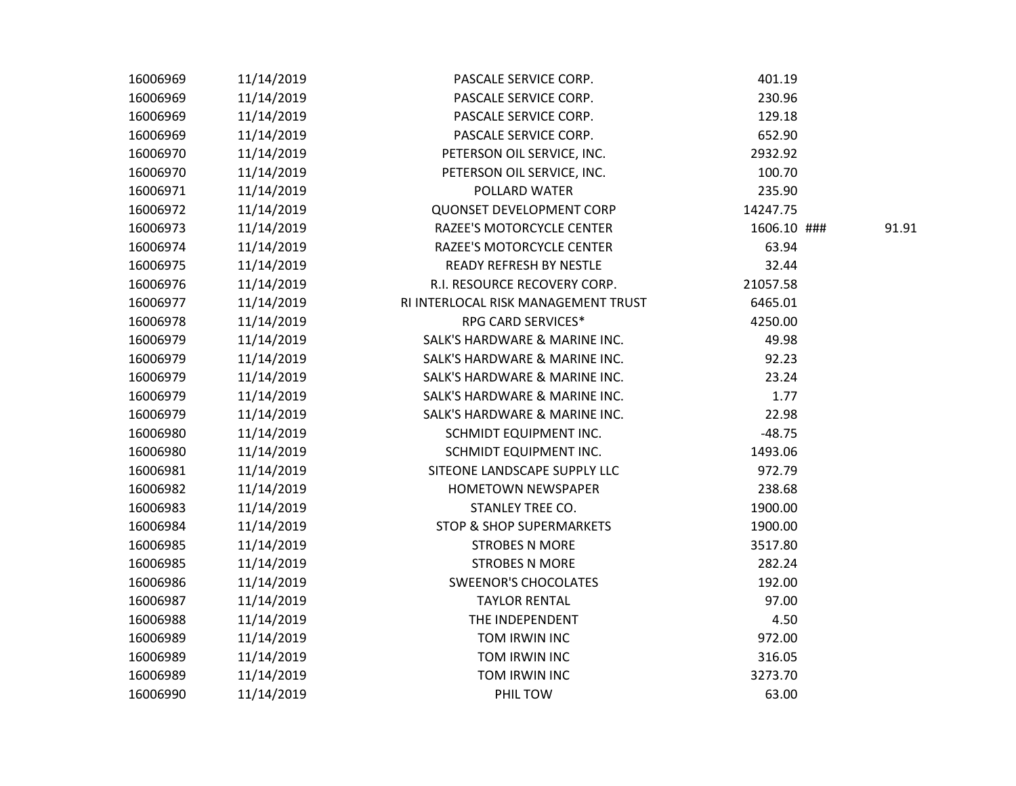| 16006969 | 11/14/2019 | PASCALE SERVICE CORP.               | 401.19      |       |
|----------|------------|-------------------------------------|-------------|-------|
| 16006969 | 11/14/2019 | PASCALE SERVICE CORP.               | 230.96      |       |
| 16006969 | 11/14/2019 | PASCALE SERVICE CORP.               | 129.18      |       |
| 16006969 | 11/14/2019 | PASCALE SERVICE CORP.               | 652.90      |       |
| 16006970 | 11/14/2019 | PETERSON OIL SERVICE, INC.          | 2932.92     |       |
| 16006970 | 11/14/2019 | PETERSON OIL SERVICE, INC.          | 100.70      |       |
| 16006971 | 11/14/2019 | POLLARD WATER                       | 235.90      |       |
| 16006972 | 11/14/2019 | <b>QUONSET DEVELOPMENT CORP</b>     | 14247.75    |       |
| 16006973 | 11/14/2019 | RAZEE'S MOTORCYCLE CENTER           | 1606.10 ### | 91.91 |
| 16006974 | 11/14/2019 | RAZEE'S MOTORCYCLE CENTER           | 63.94       |       |
| 16006975 | 11/14/2019 | <b>READY REFRESH BY NESTLE</b>      | 32.44       |       |
| 16006976 | 11/14/2019 | R.I. RESOURCE RECOVERY CORP.        | 21057.58    |       |
| 16006977 | 11/14/2019 | RI INTERLOCAL RISK MANAGEMENT TRUST | 6465.01     |       |
| 16006978 | 11/14/2019 | RPG CARD SERVICES*                  | 4250.00     |       |
| 16006979 | 11/14/2019 | SALK'S HARDWARE & MARINE INC.       | 49.98       |       |
| 16006979 | 11/14/2019 | SALK'S HARDWARE & MARINE INC.       | 92.23       |       |
| 16006979 | 11/14/2019 | SALK'S HARDWARE & MARINE INC.       | 23.24       |       |
| 16006979 | 11/14/2019 | SALK'S HARDWARE & MARINE INC.       | 1.77        |       |
| 16006979 | 11/14/2019 | SALK'S HARDWARE & MARINE INC.       | 22.98       |       |
| 16006980 | 11/14/2019 | SCHMIDT EQUIPMENT INC.              | $-48.75$    |       |
| 16006980 | 11/14/2019 | SCHMIDT EQUIPMENT INC.              | 1493.06     |       |
| 16006981 | 11/14/2019 | SITEONE LANDSCAPE SUPPLY LLC        | 972.79      |       |
| 16006982 | 11/14/2019 | <b>HOMETOWN NEWSPAPER</b>           | 238.68      |       |
| 16006983 | 11/14/2019 | STANLEY TREE CO.                    | 1900.00     |       |
| 16006984 | 11/14/2019 | <b>STOP &amp; SHOP SUPERMARKETS</b> | 1900.00     |       |
| 16006985 | 11/14/2019 | <b>STROBES N MORE</b>               | 3517.80     |       |
| 16006985 | 11/14/2019 | <b>STROBES N MORE</b>               | 282.24      |       |
| 16006986 | 11/14/2019 | <b>SWEENOR'S CHOCOLATES</b>         | 192.00      |       |
| 16006987 | 11/14/2019 | <b>TAYLOR RENTAL</b>                | 97.00       |       |
| 16006988 | 11/14/2019 | THE INDEPENDENT                     | 4.50        |       |
| 16006989 | 11/14/2019 | TOM IRWIN INC                       | 972.00      |       |
| 16006989 | 11/14/2019 | TOM IRWIN INC                       | 316.05      |       |
| 16006989 | 11/14/2019 | TOM IRWIN INC                       | 3273.70     |       |
| 16006990 | 11/14/2019 | PHIL TOW                            | 63.00       |       |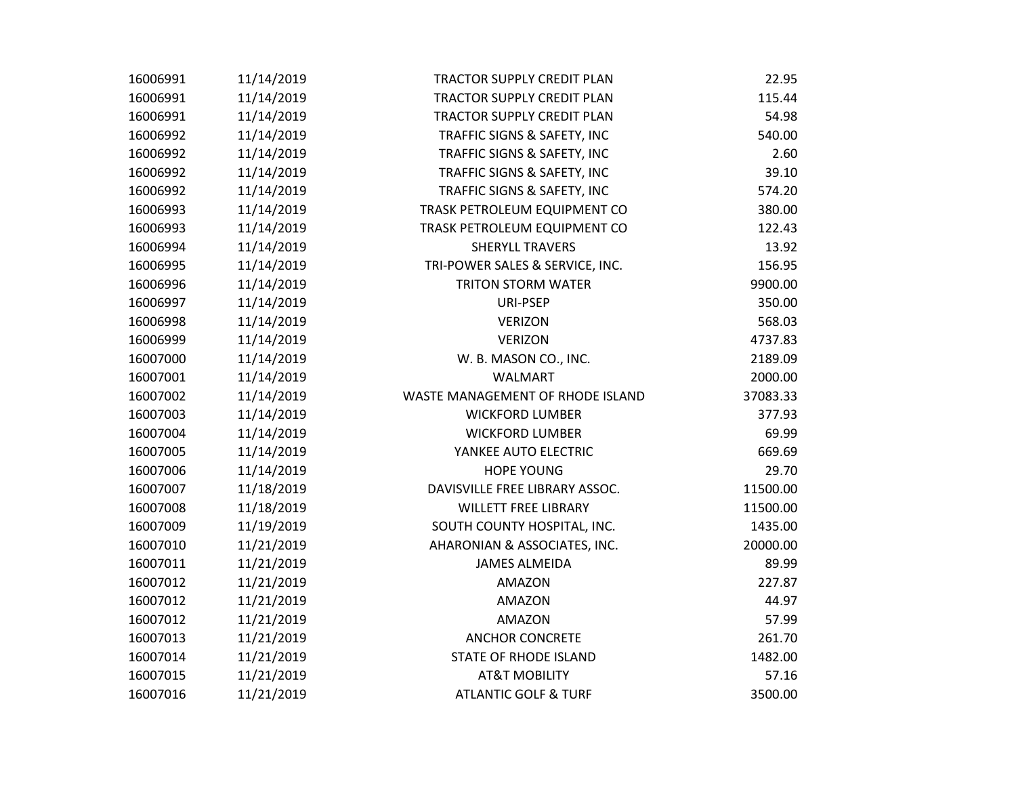| 16006991 | 11/14/2019 | <b>TRACTOR SUPPLY CREDIT PLAN</b> | 22.95    |
|----------|------------|-----------------------------------|----------|
| 16006991 | 11/14/2019 | <b>TRACTOR SUPPLY CREDIT PLAN</b> | 115.44   |
| 16006991 | 11/14/2019 | TRACTOR SUPPLY CREDIT PLAN        | 54.98    |
| 16006992 | 11/14/2019 | TRAFFIC SIGNS & SAFETY, INC       | 540.00   |
| 16006992 | 11/14/2019 | TRAFFIC SIGNS & SAFETY, INC       | 2.60     |
| 16006992 | 11/14/2019 | TRAFFIC SIGNS & SAFETY, INC       | 39.10    |
| 16006992 | 11/14/2019 | TRAFFIC SIGNS & SAFETY, INC       | 574.20   |
| 16006993 | 11/14/2019 | TRASK PETROLEUM EQUIPMENT CO      | 380.00   |
| 16006993 | 11/14/2019 | TRASK PETROLEUM EQUIPMENT CO      | 122.43   |
| 16006994 | 11/14/2019 | SHERYLL TRAVERS                   | 13.92    |
| 16006995 | 11/14/2019 | TRI-POWER SALES & SERVICE, INC.   | 156.95   |
| 16006996 | 11/14/2019 | <b>TRITON STORM WATER</b>         | 9900.00  |
| 16006997 | 11/14/2019 | URI-PSEP                          | 350.00   |
| 16006998 | 11/14/2019 | <b>VERIZON</b>                    | 568.03   |
| 16006999 | 11/14/2019 | <b>VERIZON</b>                    | 4737.83  |
| 16007000 | 11/14/2019 | W. B. MASON CO., INC.             | 2189.09  |
| 16007001 | 11/14/2019 | WALMART                           | 2000.00  |
| 16007002 | 11/14/2019 | WASTE MANAGEMENT OF RHODE ISLAND  | 37083.33 |
| 16007003 | 11/14/2019 | <b>WICKFORD LUMBER</b>            | 377.93   |
| 16007004 | 11/14/2019 | <b>WICKFORD LUMBER</b>            | 69.99    |
| 16007005 | 11/14/2019 | YANKEE AUTO ELECTRIC              | 669.69   |
| 16007006 | 11/14/2019 | <b>HOPE YOUNG</b>                 | 29.70    |
| 16007007 | 11/18/2019 | DAVISVILLE FREE LIBRARY ASSOC.    | 11500.00 |
| 16007008 | 11/18/2019 | <b>WILLETT FREE LIBRARY</b>       | 11500.00 |
| 16007009 | 11/19/2019 | SOUTH COUNTY HOSPITAL, INC.       | 1435.00  |
| 16007010 | 11/21/2019 | AHARONIAN & ASSOCIATES, INC.      | 20000.00 |
| 16007011 | 11/21/2019 | <b>JAMES ALMEIDA</b>              | 89.99    |
| 16007012 | 11/21/2019 | AMAZON                            | 227.87   |
| 16007012 | 11/21/2019 | <b>AMAZON</b>                     | 44.97    |
| 16007012 | 11/21/2019 | AMAZON                            | 57.99    |
| 16007013 | 11/21/2019 | <b>ANCHOR CONCRETE</b>            | 261.70   |
| 16007014 | 11/21/2019 | <b>STATE OF RHODE ISLAND</b>      | 1482.00  |
| 16007015 | 11/21/2019 | <b>AT&amp;T MOBILITY</b>          | 57.16    |
| 16007016 | 11/21/2019 | <b>ATLANTIC GOLF &amp; TURF</b>   | 3500.00  |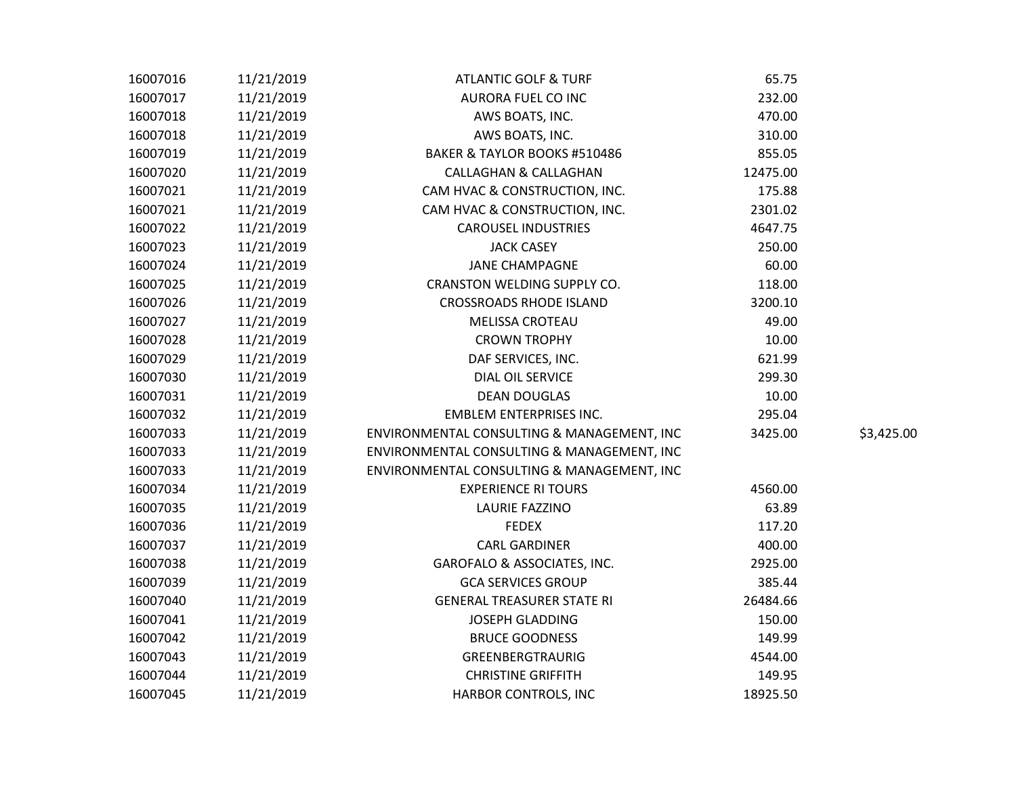| 16007016 | 11/21/2019 | <b>ATLANTIC GOLF &amp; TURF</b>            | 65.75    |            |
|----------|------------|--------------------------------------------|----------|------------|
| 16007017 | 11/21/2019 | AURORA FUEL CO INC                         | 232.00   |            |
| 16007018 | 11/21/2019 | AWS BOATS, INC.                            | 470.00   |            |
| 16007018 | 11/21/2019 | AWS BOATS, INC.                            | 310.00   |            |
| 16007019 | 11/21/2019 | BAKER & TAYLOR BOOKS #510486               | 855.05   |            |
| 16007020 | 11/21/2019 | <b>CALLAGHAN &amp; CALLAGHAN</b>           | 12475.00 |            |
| 16007021 | 11/21/2019 | CAM HVAC & CONSTRUCTION, INC.              | 175.88   |            |
| 16007021 | 11/21/2019 | CAM HVAC & CONSTRUCTION, INC.              | 2301.02  |            |
| 16007022 | 11/21/2019 | <b>CAROUSEL INDUSTRIES</b>                 | 4647.75  |            |
| 16007023 | 11/21/2019 | <b>JACK CASEY</b>                          | 250.00   |            |
| 16007024 | 11/21/2019 | <b>JANE CHAMPAGNE</b>                      | 60.00    |            |
| 16007025 | 11/21/2019 | CRANSTON WELDING SUPPLY CO.                | 118.00   |            |
| 16007026 | 11/21/2019 | <b>CROSSROADS RHODE ISLAND</b>             | 3200.10  |            |
| 16007027 | 11/21/2019 | <b>MELISSA CROTEAU</b>                     | 49.00    |            |
| 16007028 | 11/21/2019 | <b>CROWN TROPHY</b>                        | 10.00    |            |
| 16007029 | 11/21/2019 | DAF SERVICES, INC.                         | 621.99   |            |
| 16007030 | 11/21/2019 | DIAL OIL SERVICE                           | 299.30   |            |
| 16007031 | 11/21/2019 | <b>DEAN DOUGLAS</b>                        | 10.00    |            |
| 16007032 | 11/21/2019 | <b>EMBLEM ENTERPRISES INC.</b>             | 295.04   |            |
| 16007033 | 11/21/2019 | ENVIRONMENTAL CONSULTING & MANAGEMENT, INC | 3425.00  | \$3,425.00 |
| 16007033 | 11/21/2019 | ENVIRONMENTAL CONSULTING & MANAGEMENT, INC |          |            |
| 16007033 | 11/21/2019 | ENVIRONMENTAL CONSULTING & MANAGEMENT, INC |          |            |
| 16007034 | 11/21/2019 | <b>EXPERIENCE RI TOURS</b>                 | 4560.00  |            |
| 16007035 | 11/21/2019 | <b>LAURIE FAZZINO</b>                      | 63.89    |            |
| 16007036 | 11/21/2019 | <b>FEDEX</b>                               | 117.20   |            |
| 16007037 | 11/21/2019 | <b>CARL GARDINER</b>                       | 400.00   |            |
| 16007038 | 11/21/2019 | GAROFALO & ASSOCIATES, INC.                | 2925.00  |            |
| 16007039 | 11/21/2019 | <b>GCA SERVICES GROUP</b>                  | 385.44   |            |
| 16007040 | 11/21/2019 | <b>GENERAL TREASURER STATE RI</b>          | 26484.66 |            |
| 16007041 | 11/21/2019 | JOSEPH GLADDING                            | 150.00   |            |
| 16007042 | 11/21/2019 | <b>BRUCE GOODNESS</b>                      | 149.99   |            |
| 16007043 | 11/21/2019 | GREENBERGTRAURIG                           | 4544.00  |            |
| 16007044 | 11/21/2019 | <b>CHRISTINE GRIFFITH</b>                  | 149.95   |            |
| 16007045 | 11/21/2019 | HARBOR CONTROLS, INC                       | 18925.50 |            |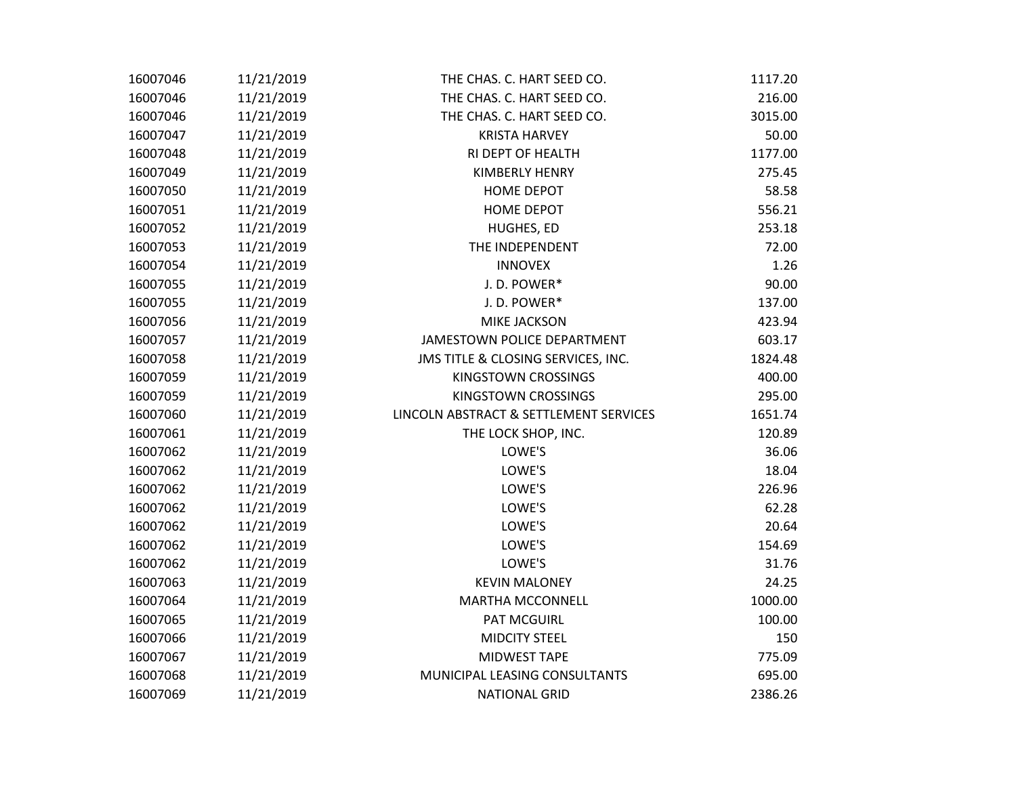| 16007046 | 11/21/2019 | THE CHAS. C. HART SEED CO.             | 1117.20 |
|----------|------------|----------------------------------------|---------|
| 16007046 | 11/21/2019 | THE CHAS. C. HART SEED CO.             | 216.00  |
| 16007046 | 11/21/2019 | THE CHAS. C. HART SEED CO.             | 3015.00 |
| 16007047 | 11/21/2019 | <b>KRISTA HARVEY</b>                   | 50.00   |
| 16007048 | 11/21/2019 | RI DEPT OF HEALTH                      | 1177.00 |
| 16007049 | 11/21/2019 | <b>KIMBERLY HENRY</b>                  | 275.45  |
| 16007050 | 11/21/2019 | <b>HOME DEPOT</b>                      | 58.58   |
| 16007051 | 11/21/2019 | <b>HOME DEPOT</b>                      | 556.21  |
| 16007052 | 11/21/2019 | HUGHES, ED                             | 253.18  |
| 16007053 | 11/21/2019 | THE INDEPENDENT                        | 72.00   |
| 16007054 | 11/21/2019 | <b>INNOVEX</b>                         | 1.26    |
| 16007055 | 11/21/2019 | J.D. POWER*                            | 90.00   |
| 16007055 | 11/21/2019 | J.D. POWER*                            | 137.00  |
| 16007056 | 11/21/2019 | MIKE JACKSON                           | 423.94  |
| 16007057 | 11/21/2019 | JAMESTOWN POLICE DEPARTMENT            | 603.17  |
| 16007058 | 11/21/2019 | JMS TITLE & CLOSING SERVICES, INC.     | 1824.48 |
| 16007059 | 11/21/2019 | KINGSTOWN CROSSINGS                    | 400.00  |
| 16007059 | 11/21/2019 | KINGSTOWN CROSSINGS                    | 295.00  |
| 16007060 | 11/21/2019 | LINCOLN ABSTRACT & SETTLEMENT SERVICES | 1651.74 |
| 16007061 | 11/21/2019 | THE LOCK SHOP, INC.                    | 120.89  |
| 16007062 | 11/21/2019 | LOWE'S                                 | 36.06   |
| 16007062 | 11/21/2019 | LOWE'S                                 | 18.04   |
| 16007062 | 11/21/2019 | LOWE'S                                 | 226.96  |
| 16007062 | 11/21/2019 | LOWE'S                                 | 62.28   |
| 16007062 | 11/21/2019 | LOWE'S                                 | 20.64   |
| 16007062 | 11/21/2019 | LOWE'S                                 | 154.69  |
| 16007062 | 11/21/2019 | LOWE'S                                 | 31.76   |
| 16007063 | 11/21/2019 | <b>KEVIN MALONEY</b>                   | 24.25   |
| 16007064 | 11/21/2019 | <b>MARTHA MCCONNELL</b>                | 1000.00 |
| 16007065 | 11/21/2019 | <b>PAT MCGUIRL</b>                     | 100.00  |
| 16007066 | 11/21/2019 | <b>MIDCITY STEEL</b>                   | 150     |
| 16007067 | 11/21/2019 | MIDWEST TAPE                           | 775.09  |
| 16007068 | 11/21/2019 | MUNICIPAL LEASING CONSULTANTS          | 695.00  |
| 16007069 | 11/21/2019 | <b>NATIONAL GRID</b>                   | 2386.26 |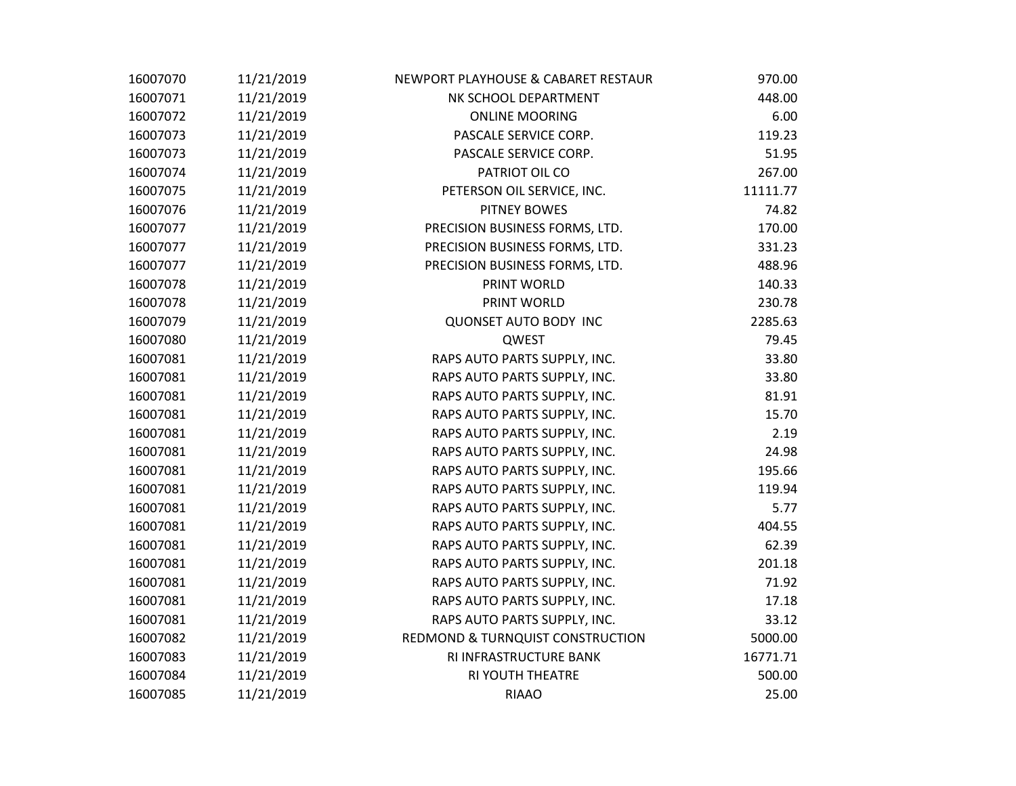| 16007070 | 11/21/2019 | NEWPORT PLAYHOUSE & CABARET RESTAUR | 970.00   |
|----------|------------|-------------------------------------|----------|
| 16007071 | 11/21/2019 | NK SCHOOL DEPARTMENT                | 448.00   |
| 16007072 | 11/21/2019 | <b>ONLINE MOORING</b>               | 6.00     |
| 16007073 | 11/21/2019 | PASCALE SERVICE CORP.               | 119.23   |
| 16007073 | 11/21/2019 | PASCALE SERVICE CORP.               | 51.95    |
| 16007074 | 11/21/2019 | PATRIOT OIL CO                      | 267.00   |
| 16007075 | 11/21/2019 | PETERSON OIL SERVICE, INC.          | 11111.77 |
| 16007076 | 11/21/2019 | <b>PITNEY BOWES</b>                 | 74.82    |
| 16007077 | 11/21/2019 | PRECISION BUSINESS FORMS, LTD.      | 170.00   |
| 16007077 | 11/21/2019 | PRECISION BUSINESS FORMS, LTD.      | 331.23   |
| 16007077 | 11/21/2019 | PRECISION BUSINESS FORMS, LTD.      | 488.96   |
| 16007078 | 11/21/2019 | PRINT WORLD                         | 140.33   |
| 16007078 | 11/21/2019 | PRINT WORLD                         | 230.78   |
| 16007079 | 11/21/2019 | <b>QUONSET AUTO BODY INC</b>        | 2285.63  |
| 16007080 | 11/21/2019 | QWEST                               | 79.45    |
| 16007081 | 11/21/2019 | RAPS AUTO PARTS SUPPLY, INC.        | 33.80    |
| 16007081 | 11/21/2019 | RAPS AUTO PARTS SUPPLY, INC.        | 33.80    |
| 16007081 | 11/21/2019 | RAPS AUTO PARTS SUPPLY, INC.        | 81.91    |
| 16007081 | 11/21/2019 | RAPS AUTO PARTS SUPPLY, INC.        | 15.70    |
| 16007081 | 11/21/2019 | RAPS AUTO PARTS SUPPLY, INC.        | 2.19     |
| 16007081 | 11/21/2019 | RAPS AUTO PARTS SUPPLY, INC.        | 24.98    |
| 16007081 | 11/21/2019 | RAPS AUTO PARTS SUPPLY, INC.        | 195.66   |
| 16007081 | 11/21/2019 | RAPS AUTO PARTS SUPPLY, INC.        | 119.94   |
| 16007081 | 11/21/2019 | RAPS AUTO PARTS SUPPLY, INC.        | 5.77     |
| 16007081 | 11/21/2019 | RAPS AUTO PARTS SUPPLY, INC.        | 404.55   |
| 16007081 | 11/21/2019 | RAPS AUTO PARTS SUPPLY, INC.        | 62.39    |
| 16007081 | 11/21/2019 | RAPS AUTO PARTS SUPPLY, INC.        | 201.18   |
| 16007081 | 11/21/2019 | RAPS AUTO PARTS SUPPLY, INC.        | 71.92    |
| 16007081 | 11/21/2019 | RAPS AUTO PARTS SUPPLY, INC.        | 17.18    |
| 16007081 | 11/21/2019 | RAPS AUTO PARTS SUPPLY, INC.        | 33.12    |
| 16007082 | 11/21/2019 | REDMOND & TURNQUIST CONSTRUCTION    | 5000.00  |
| 16007083 | 11/21/2019 | RI INFRASTRUCTURE BANK              | 16771.71 |
| 16007084 | 11/21/2019 | <b>RI YOUTH THEATRE</b>             | 500.00   |
| 16007085 | 11/21/2019 | <b>RIAAO</b>                        | 25.00    |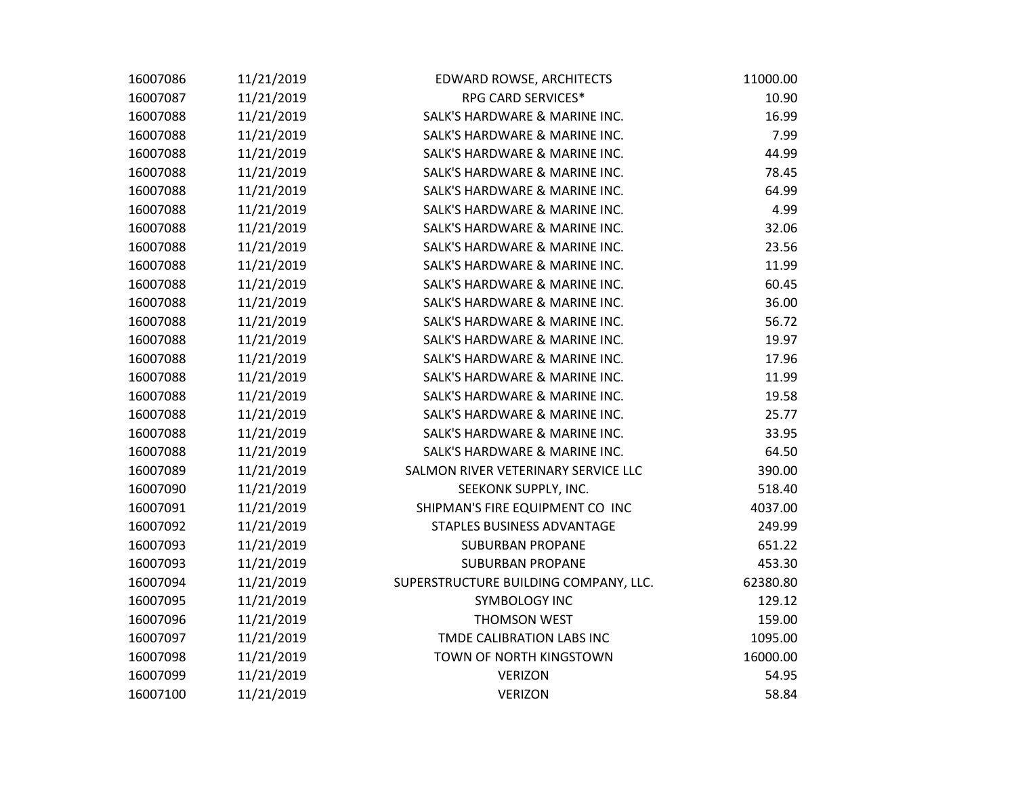| 16007086 | 11/21/2019 | EDWARD ROWSE, ARCHITECTS              | 11000.00 |
|----------|------------|---------------------------------------|----------|
| 16007087 | 11/21/2019 | RPG CARD SERVICES*                    | 10.90    |
| 16007088 | 11/21/2019 | SALK'S HARDWARE & MARINE INC.         | 16.99    |
| 16007088 | 11/21/2019 | SALK'S HARDWARE & MARINE INC.         | 7.99     |
| 16007088 | 11/21/2019 | SALK'S HARDWARE & MARINE INC.         | 44.99    |
| 16007088 | 11/21/2019 | SALK'S HARDWARE & MARINE INC.         | 78.45    |
| 16007088 | 11/21/2019 | SALK'S HARDWARE & MARINE INC.         | 64.99    |
| 16007088 | 11/21/2019 | SALK'S HARDWARE & MARINE INC.         | 4.99     |
| 16007088 | 11/21/2019 | SALK'S HARDWARE & MARINE INC.         | 32.06    |
| 16007088 | 11/21/2019 | SALK'S HARDWARE & MARINE INC.         | 23.56    |
| 16007088 | 11/21/2019 | SALK'S HARDWARE & MARINE INC.         | 11.99    |
| 16007088 | 11/21/2019 | SALK'S HARDWARE & MARINE INC.         | 60.45    |
| 16007088 | 11/21/2019 | SALK'S HARDWARE & MARINE INC.         | 36.00    |
| 16007088 | 11/21/2019 | SALK'S HARDWARE & MARINE INC.         | 56.72    |
| 16007088 | 11/21/2019 | SALK'S HARDWARE & MARINE INC.         | 19.97    |
| 16007088 | 11/21/2019 | SALK'S HARDWARE & MARINE INC.         | 17.96    |
| 16007088 | 11/21/2019 | SALK'S HARDWARE & MARINE INC.         | 11.99    |
| 16007088 | 11/21/2019 | SALK'S HARDWARE & MARINE INC.         | 19.58    |
| 16007088 | 11/21/2019 | SALK'S HARDWARE & MARINE INC.         | 25.77    |
| 16007088 | 11/21/2019 | SALK'S HARDWARE & MARINE INC.         | 33.95    |
| 16007088 | 11/21/2019 | SALK'S HARDWARE & MARINE INC.         | 64.50    |
| 16007089 | 11/21/2019 | SALMON RIVER VETERINARY SERVICE LLC   | 390.00   |
| 16007090 | 11/21/2019 | SEEKONK SUPPLY, INC.                  | 518.40   |
| 16007091 | 11/21/2019 | SHIPMAN'S FIRE EQUIPMENT CO INC       | 4037.00  |
| 16007092 | 11/21/2019 | STAPLES BUSINESS ADVANTAGE            | 249.99   |
| 16007093 | 11/21/2019 | <b>SUBURBAN PROPANE</b>               | 651.22   |
| 16007093 | 11/21/2019 | <b>SUBURBAN PROPANE</b>               | 453.30   |
| 16007094 | 11/21/2019 | SUPERSTRUCTURE BUILDING COMPANY, LLC. | 62380.80 |
| 16007095 | 11/21/2019 | <b>SYMBOLOGY INC</b>                  | 129.12   |
| 16007096 | 11/21/2019 | <b>THOMSON WEST</b>                   | 159.00   |
| 16007097 | 11/21/2019 | TMDE CALIBRATION LABS INC             | 1095.00  |
| 16007098 | 11/21/2019 | TOWN OF NORTH KINGSTOWN               | 16000.00 |
| 16007099 | 11/21/2019 | <b>VERIZON</b>                        | 54.95    |
| 16007100 | 11/21/2019 | <b>VERIZON</b>                        | 58.84    |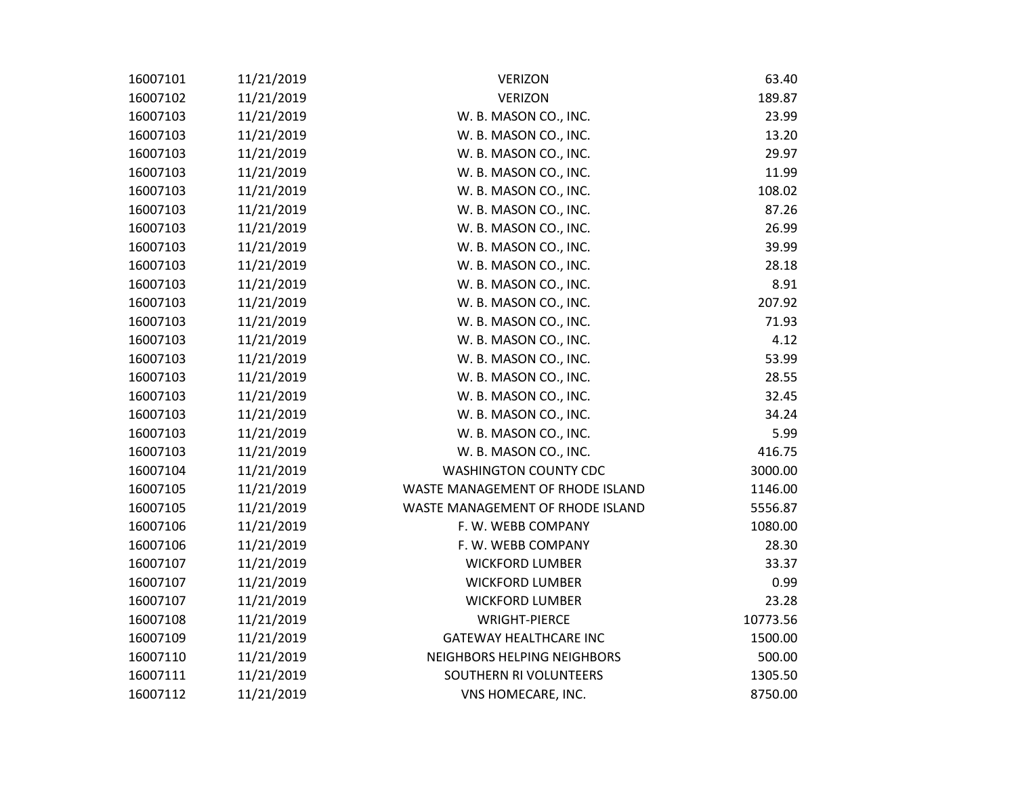| 16007101 | 11/21/2019 | <b>VERIZON</b>                   | 63.40    |
|----------|------------|----------------------------------|----------|
| 16007102 | 11/21/2019 | <b>VERIZON</b>                   | 189.87   |
| 16007103 | 11/21/2019 | W. B. MASON CO., INC.            | 23.99    |
| 16007103 | 11/21/2019 | W. B. MASON CO., INC.            | 13.20    |
| 16007103 | 11/21/2019 | W. B. MASON CO., INC.            | 29.97    |
| 16007103 | 11/21/2019 | W. B. MASON CO., INC.            | 11.99    |
| 16007103 | 11/21/2019 | W. B. MASON CO., INC.            | 108.02   |
| 16007103 | 11/21/2019 | W. B. MASON CO., INC.            | 87.26    |
| 16007103 | 11/21/2019 | W. B. MASON CO., INC.            | 26.99    |
| 16007103 | 11/21/2019 | W. B. MASON CO., INC.            | 39.99    |
| 16007103 | 11/21/2019 | W. B. MASON CO., INC.            | 28.18    |
| 16007103 | 11/21/2019 | W. B. MASON CO., INC.            | 8.91     |
| 16007103 | 11/21/2019 | W. B. MASON CO., INC.            | 207.92   |
| 16007103 | 11/21/2019 | W. B. MASON CO., INC.            | 71.93    |
| 16007103 | 11/21/2019 | W. B. MASON CO., INC.            | 4.12     |
| 16007103 | 11/21/2019 | W. B. MASON CO., INC.            | 53.99    |
| 16007103 | 11/21/2019 | W. B. MASON CO., INC.            | 28.55    |
| 16007103 | 11/21/2019 | W. B. MASON CO., INC.            | 32.45    |
| 16007103 | 11/21/2019 | W. B. MASON CO., INC.            | 34.24    |
| 16007103 | 11/21/2019 | W. B. MASON CO., INC.            | 5.99     |
| 16007103 | 11/21/2019 | W. B. MASON CO., INC.            | 416.75   |
| 16007104 | 11/21/2019 | <b>WASHINGTON COUNTY CDC</b>     | 3000.00  |
| 16007105 | 11/21/2019 | WASTE MANAGEMENT OF RHODE ISLAND | 1146.00  |
| 16007105 | 11/21/2019 | WASTE MANAGEMENT OF RHODE ISLAND | 5556.87  |
| 16007106 | 11/21/2019 | F. W. WEBB COMPANY               | 1080.00  |
| 16007106 | 11/21/2019 | F. W. WEBB COMPANY               | 28.30    |
| 16007107 | 11/21/2019 | <b>WICKFORD LUMBER</b>           | 33.37    |
| 16007107 | 11/21/2019 | <b>WICKFORD LUMBER</b>           | 0.99     |
| 16007107 | 11/21/2019 | <b>WICKFORD LUMBER</b>           | 23.28    |
| 16007108 | 11/21/2019 | <b>WRIGHT-PIERCE</b>             | 10773.56 |
| 16007109 | 11/21/2019 | <b>GATEWAY HEALTHCARE INC</b>    | 1500.00  |
| 16007110 | 11/21/2019 | NEIGHBORS HELPING NEIGHBORS      | 500.00   |
| 16007111 | 11/21/2019 | SOUTHERN RI VOLUNTEERS           | 1305.50  |
| 16007112 | 11/21/2019 | VNS HOMECARE, INC.               | 8750.00  |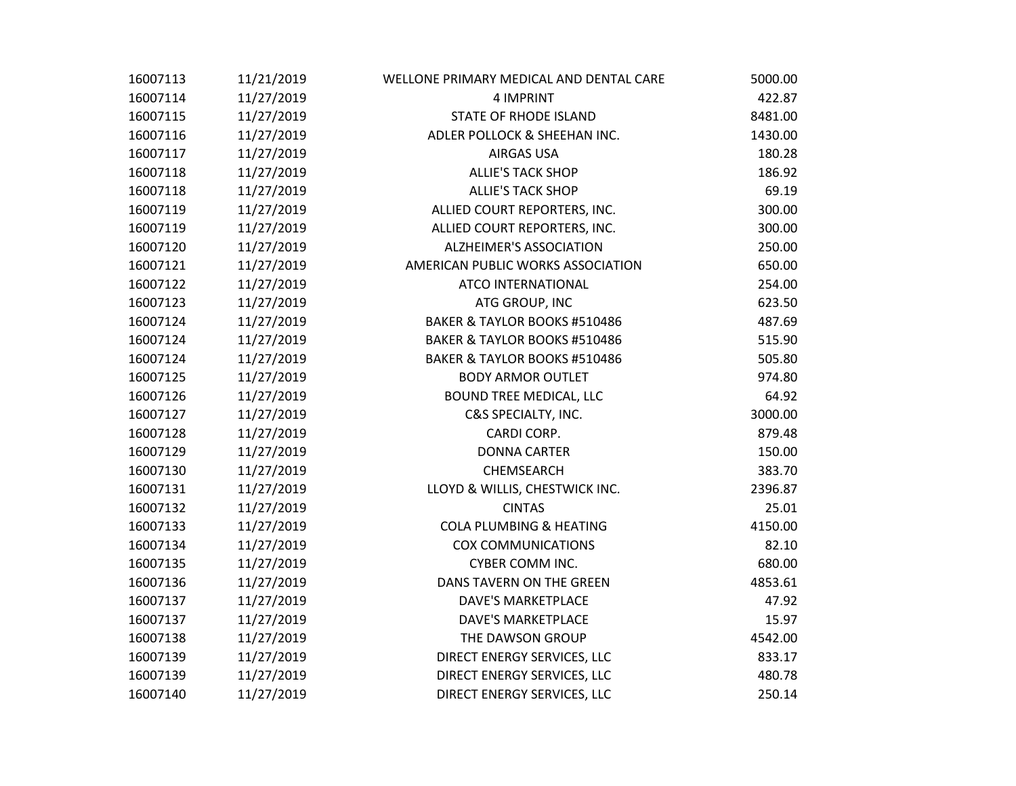| 16007113 | 11/21/2019 | WELLONE PRIMARY MEDICAL AND DENTAL CARE | 5000.00 |
|----------|------------|-----------------------------------------|---------|
| 16007114 | 11/27/2019 | 4 IMPRINT                               | 422.87  |
| 16007115 | 11/27/2019 | STATE OF RHODE ISLAND                   | 8481.00 |
| 16007116 | 11/27/2019 | ADLER POLLOCK & SHEEHAN INC.            | 1430.00 |
| 16007117 | 11/27/2019 | AIRGAS USA                              | 180.28  |
| 16007118 | 11/27/2019 | <b>ALLIE'S TACK SHOP</b>                | 186.92  |
| 16007118 | 11/27/2019 | <b>ALLIE'S TACK SHOP</b>                | 69.19   |
| 16007119 | 11/27/2019 | ALLIED COURT REPORTERS, INC.            | 300.00  |
| 16007119 | 11/27/2019 | ALLIED COURT REPORTERS, INC.            | 300.00  |
| 16007120 | 11/27/2019 | <b>ALZHEIMER'S ASSOCIATION</b>          | 250.00  |
| 16007121 | 11/27/2019 | AMERICAN PUBLIC WORKS ASSOCIATION       | 650.00  |
| 16007122 | 11/27/2019 | ATCO INTERNATIONAL                      | 254.00  |
| 16007123 | 11/27/2019 | ATG GROUP, INC                          | 623.50  |
| 16007124 | 11/27/2019 | BAKER & TAYLOR BOOKS #510486            | 487.69  |
| 16007124 | 11/27/2019 | BAKER & TAYLOR BOOKS #510486            | 515.90  |
| 16007124 | 11/27/2019 | BAKER & TAYLOR BOOKS #510486            | 505.80  |
| 16007125 | 11/27/2019 | <b>BODY ARMOR OUTLET</b>                | 974.80  |
| 16007126 | 11/27/2019 | <b>BOUND TREE MEDICAL, LLC</b>          | 64.92   |
| 16007127 | 11/27/2019 | C&S SPECIALTY, INC.                     | 3000.00 |
| 16007128 | 11/27/2019 | CARDI CORP.                             | 879.48  |
| 16007129 | 11/27/2019 | <b>DONNA CARTER</b>                     | 150.00  |
| 16007130 | 11/27/2019 | CHEMSEARCH                              | 383.70  |
| 16007131 | 11/27/2019 | LLOYD & WILLIS, CHESTWICK INC.          | 2396.87 |
| 16007132 | 11/27/2019 | <b>CINTAS</b>                           | 25.01   |
| 16007133 | 11/27/2019 | <b>COLA PLUMBING &amp; HEATING</b>      | 4150.00 |
| 16007134 | 11/27/2019 | <b>COX COMMUNICATIONS</b>               | 82.10   |
| 16007135 | 11/27/2019 | <b>CYBER COMM INC.</b>                  | 680.00  |
| 16007136 | 11/27/2019 | DANS TAVERN ON THE GREEN                | 4853.61 |
| 16007137 | 11/27/2019 | <b>DAVE'S MARKETPLACE</b>               | 47.92   |
| 16007137 | 11/27/2019 | <b>DAVE'S MARKETPLACE</b>               | 15.97   |
| 16007138 | 11/27/2019 | THE DAWSON GROUP                        | 4542.00 |
| 16007139 | 11/27/2019 | DIRECT ENERGY SERVICES, LLC             | 833.17  |
| 16007139 | 11/27/2019 | DIRECT ENERGY SERVICES, LLC             | 480.78  |
| 16007140 | 11/27/2019 | DIRECT ENERGY SERVICES, LLC             | 250.14  |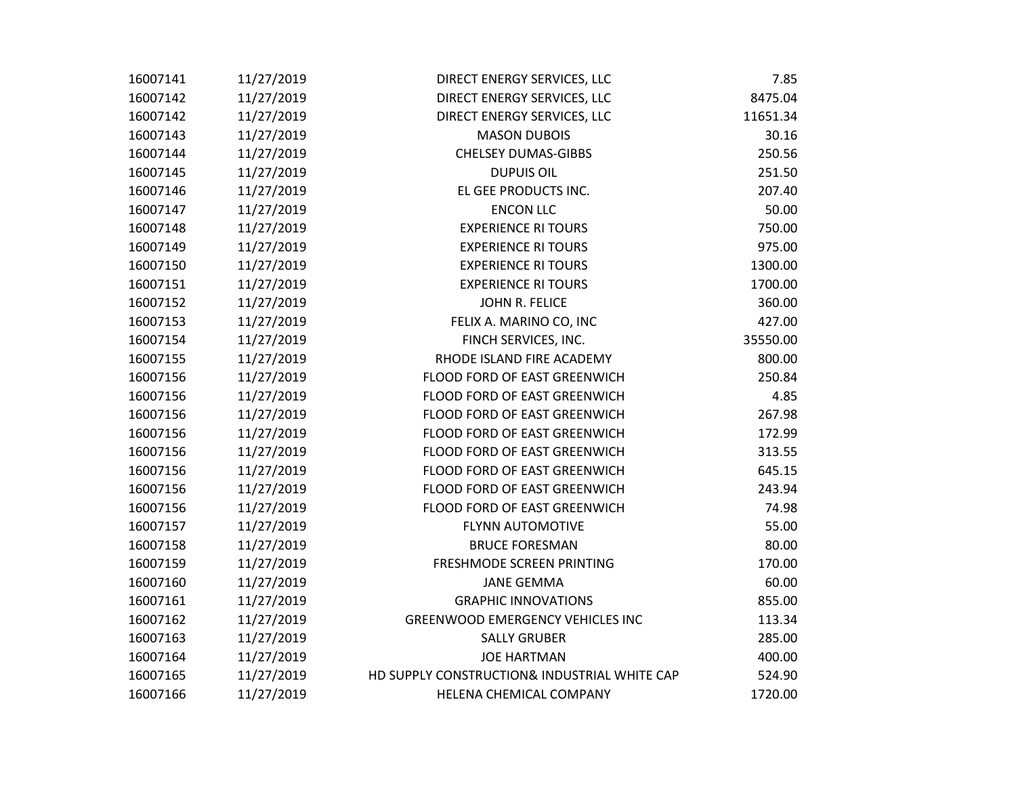| 16007141 | 11/27/2019 | DIRECT ENERGY SERVICES, LLC                  | 7.85     |
|----------|------------|----------------------------------------------|----------|
| 16007142 | 11/27/2019 | DIRECT ENERGY SERVICES, LLC                  | 8475.04  |
| 16007142 | 11/27/2019 | DIRECT ENERGY SERVICES, LLC                  | 11651.34 |
| 16007143 | 11/27/2019 | <b>MASON DUBOIS</b>                          | 30.16    |
| 16007144 | 11/27/2019 | <b>CHELSEY DUMAS-GIBBS</b>                   | 250.56   |
| 16007145 | 11/27/2019 | <b>DUPUIS OIL</b>                            | 251.50   |
| 16007146 | 11/27/2019 | EL GEE PRODUCTS INC.                         | 207.40   |
| 16007147 | 11/27/2019 | <b>ENCON LLC</b>                             | 50.00    |
| 16007148 | 11/27/2019 | <b>EXPERIENCE RI TOURS</b>                   | 750.00   |
| 16007149 | 11/27/2019 | <b>EXPERIENCE RI TOURS</b>                   | 975.00   |
| 16007150 | 11/27/2019 | <b>EXPERIENCE RI TOURS</b>                   | 1300.00  |
| 16007151 | 11/27/2019 | <b>EXPERIENCE RI TOURS</b>                   | 1700.00  |
| 16007152 | 11/27/2019 | JOHN R. FELICE                               | 360.00   |
| 16007153 | 11/27/2019 | FELIX A. MARINO CO, INC                      | 427.00   |
| 16007154 | 11/27/2019 | FINCH SERVICES, INC.                         | 35550.00 |
| 16007155 | 11/27/2019 | RHODE ISLAND FIRE ACADEMY                    | 800.00   |
| 16007156 | 11/27/2019 | FLOOD FORD OF EAST GREENWICH                 | 250.84   |
| 16007156 | 11/27/2019 | FLOOD FORD OF EAST GREENWICH                 | 4.85     |
| 16007156 | 11/27/2019 | FLOOD FORD OF EAST GREENWICH                 | 267.98   |
| 16007156 | 11/27/2019 | FLOOD FORD OF EAST GREENWICH                 | 172.99   |
| 16007156 | 11/27/2019 | FLOOD FORD OF EAST GREENWICH                 | 313.55   |
| 16007156 | 11/27/2019 | FLOOD FORD OF EAST GREENWICH                 | 645.15   |
| 16007156 | 11/27/2019 | FLOOD FORD OF EAST GREENWICH                 | 243.94   |
| 16007156 | 11/27/2019 | FLOOD FORD OF EAST GREENWICH                 | 74.98    |
| 16007157 | 11/27/2019 | <b>FLYNN AUTOMOTIVE</b>                      | 55.00    |
| 16007158 | 11/27/2019 | <b>BRUCE FORESMAN</b>                        | 80.00    |
| 16007159 | 11/27/2019 | FRESHMODE SCREEN PRINTING                    | 170.00   |
| 16007160 | 11/27/2019 | <b>JANE GEMMA</b>                            | 60.00    |
| 16007161 | 11/27/2019 | <b>GRAPHIC INNOVATIONS</b>                   | 855.00   |
| 16007162 | 11/27/2019 | <b>GREENWOOD EMERGENCY VEHICLES INC</b>      | 113.34   |
| 16007163 | 11/27/2019 | <b>SALLY GRUBER</b>                          | 285.00   |
| 16007164 | 11/27/2019 | <b>JOE HARTMAN</b>                           | 400.00   |
| 16007165 | 11/27/2019 | HD SUPPLY CONSTRUCTION& INDUSTRIAL WHITE CAP | 524.90   |
| 16007166 | 11/27/2019 | HELENA CHEMICAL COMPANY                      | 1720.00  |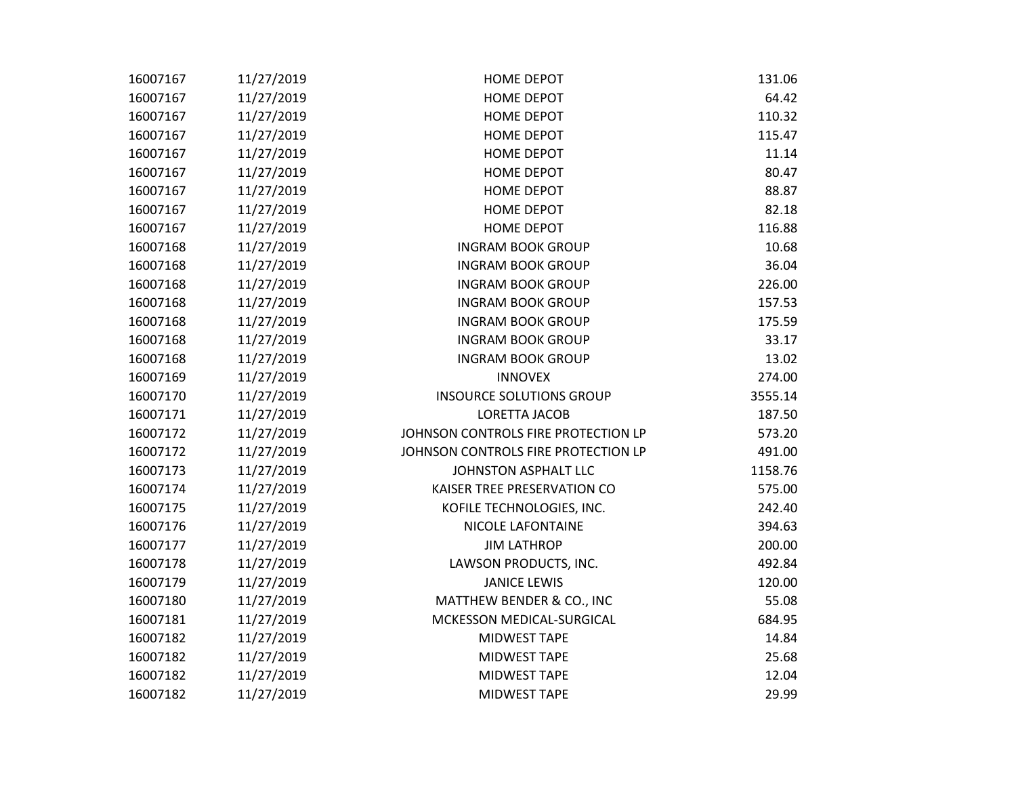| 16007167 | 11/27/2019 | <b>HOME DEPOT</b>                   | 131.06  |
|----------|------------|-------------------------------------|---------|
| 16007167 | 11/27/2019 | <b>HOME DEPOT</b>                   | 64.42   |
| 16007167 | 11/27/2019 | <b>HOME DEPOT</b>                   | 110.32  |
| 16007167 | 11/27/2019 | <b>HOME DEPOT</b>                   | 115.47  |
| 16007167 | 11/27/2019 | <b>HOME DEPOT</b>                   | 11.14   |
| 16007167 | 11/27/2019 | <b>HOME DEPOT</b>                   | 80.47   |
| 16007167 | 11/27/2019 | <b>HOME DEPOT</b>                   | 88.87   |
| 16007167 | 11/27/2019 | <b>HOME DEPOT</b>                   | 82.18   |
| 16007167 | 11/27/2019 | <b>HOME DEPOT</b>                   | 116.88  |
| 16007168 | 11/27/2019 | <b>INGRAM BOOK GROUP</b>            | 10.68   |
| 16007168 | 11/27/2019 | <b>INGRAM BOOK GROUP</b>            | 36.04   |
| 16007168 | 11/27/2019 | <b>INGRAM BOOK GROUP</b>            | 226.00  |
| 16007168 | 11/27/2019 | <b>INGRAM BOOK GROUP</b>            | 157.53  |
| 16007168 | 11/27/2019 | <b>INGRAM BOOK GROUP</b>            | 175.59  |
| 16007168 | 11/27/2019 | <b>INGRAM BOOK GROUP</b>            | 33.17   |
| 16007168 | 11/27/2019 | <b>INGRAM BOOK GROUP</b>            | 13.02   |
| 16007169 | 11/27/2019 | <b>INNOVEX</b>                      | 274.00  |
| 16007170 | 11/27/2019 | <b>INSOURCE SOLUTIONS GROUP</b>     | 3555.14 |
| 16007171 | 11/27/2019 | <b>LORETTA JACOB</b>                | 187.50  |
| 16007172 | 11/27/2019 | JOHNSON CONTROLS FIRE PROTECTION LP | 573.20  |
| 16007172 | 11/27/2019 | JOHNSON CONTROLS FIRE PROTECTION LP | 491.00  |
| 16007173 | 11/27/2019 | JOHNSTON ASPHALT LLC                | 1158.76 |
| 16007174 | 11/27/2019 | KAISER TREE PRESERVATION CO         | 575.00  |
| 16007175 | 11/27/2019 | KOFILE TECHNOLOGIES, INC.           | 242.40  |
| 16007176 | 11/27/2019 | <b>NICOLE LAFONTAINE</b>            | 394.63  |
| 16007177 | 11/27/2019 | <b>JIM LATHROP</b>                  | 200.00  |
| 16007178 | 11/27/2019 | LAWSON PRODUCTS, INC.               | 492.84  |
| 16007179 | 11/27/2019 | <b>JANICE LEWIS</b>                 | 120.00  |
| 16007180 | 11/27/2019 | MATTHEW BENDER & CO., INC           | 55.08   |
| 16007181 | 11/27/2019 | MCKESSON MEDICAL-SURGICAL           | 684.95  |
| 16007182 | 11/27/2019 | MIDWEST TAPE                        | 14.84   |
| 16007182 | 11/27/2019 | MIDWEST TAPE                        | 25.68   |
| 16007182 | 11/27/2019 | <b>MIDWEST TAPE</b>                 | 12.04   |
| 16007182 | 11/27/2019 | <b>MIDWEST TAPE</b>                 | 29.99   |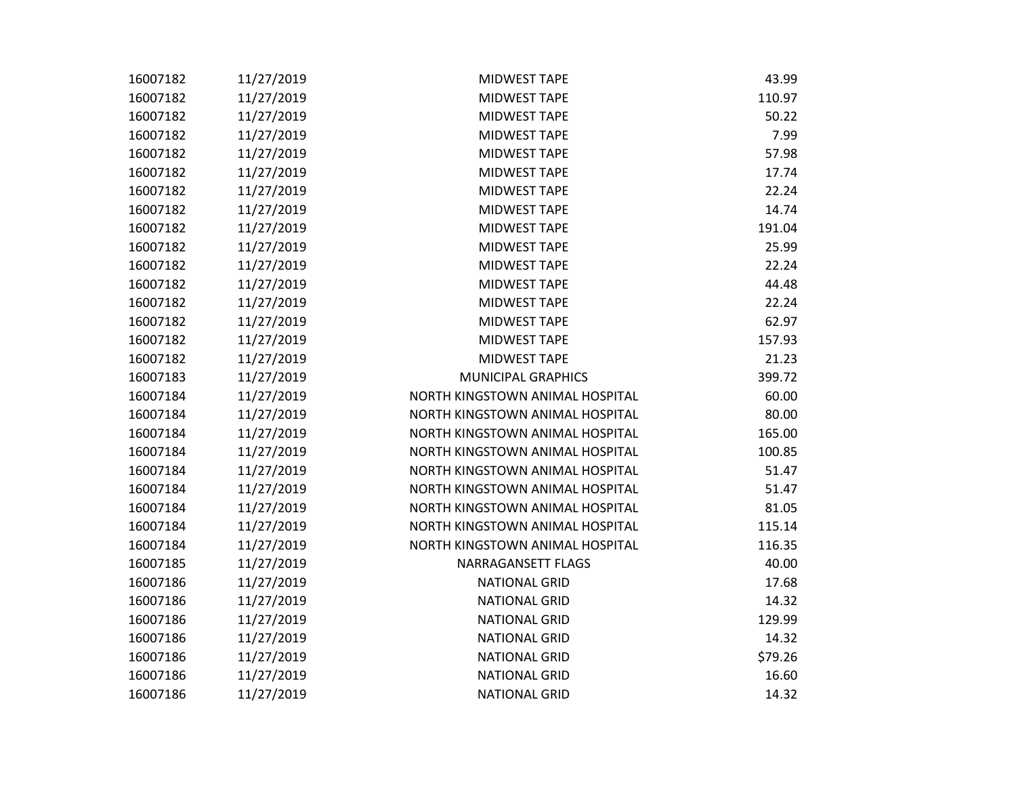| 16007182 | 11/27/2019 | <b>MIDWEST TAPE</b>             | 43.99   |
|----------|------------|---------------------------------|---------|
| 16007182 | 11/27/2019 | <b>MIDWEST TAPE</b>             | 110.97  |
| 16007182 | 11/27/2019 | MIDWEST TAPE                    | 50.22   |
| 16007182 | 11/27/2019 | <b>MIDWEST TAPE</b>             | 7.99    |
| 16007182 | 11/27/2019 | <b>MIDWEST TAPE</b>             | 57.98   |
| 16007182 | 11/27/2019 | MIDWEST TAPE                    | 17.74   |
| 16007182 | 11/27/2019 | MIDWEST TAPE                    | 22.24   |
| 16007182 | 11/27/2019 | MIDWEST TAPE                    | 14.74   |
| 16007182 | 11/27/2019 | MIDWEST TAPE                    | 191.04  |
| 16007182 | 11/27/2019 | <b>MIDWEST TAPE</b>             | 25.99   |
| 16007182 | 11/27/2019 | <b>MIDWEST TAPE</b>             | 22.24   |
| 16007182 | 11/27/2019 | MIDWEST TAPE                    | 44.48   |
| 16007182 | 11/27/2019 | MIDWEST TAPE                    | 22.24   |
| 16007182 | 11/27/2019 | <b>MIDWEST TAPE</b>             | 62.97   |
| 16007182 | 11/27/2019 | <b>MIDWEST TAPE</b>             | 157.93  |
| 16007182 | 11/27/2019 | <b>MIDWEST TAPE</b>             | 21.23   |
| 16007183 | 11/27/2019 | MUNICIPAL GRAPHICS              | 399.72  |
| 16007184 | 11/27/2019 | NORTH KINGSTOWN ANIMAL HOSPITAL | 60.00   |
| 16007184 | 11/27/2019 | NORTH KINGSTOWN ANIMAL HOSPITAL | 80.00   |
| 16007184 | 11/27/2019 | NORTH KINGSTOWN ANIMAL HOSPITAL | 165.00  |
| 16007184 | 11/27/2019 | NORTH KINGSTOWN ANIMAL HOSPITAL | 100.85  |
| 16007184 | 11/27/2019 | NORTH KINGSTOWN ANIMAL HOSPITAL | 51.47   |
| 16007184 | 11/27/2019 | NORTH KINGSTOWN ANIMAL HOSPITAL | 51.47   |
| 16007184 | 11/27/2019 | NORTH KINGSTOWN ANIMAL HOSPITAL | 81.05   |
| 16007184 | 11/27/2019 | NORTH KINGSTOWN ANIMAL HOSPITAL | 115.14  |
| 16007184 | 11/27/2019 | NORTH KINGSTOWN ANIMAL HOSPITAL | 116.35  |
| 16007185 | 11/27/2019 | NARRAGANSETT FLAGS              | 40.00   |
| 16007186 | 11/27/2019 | <b>NATIONAL GRID</b>            | 17.68   |
| 16007186 | 11/27/2019 | <b>NATIONAL GRID</b>            | 14.32   |
| 16007186 | 11/27/2019 | <b>NATIONAL GRID</b>            | 129.99  |
| 16007186 | 11/27/2019 | <b>NATIONAL GRID</b>            | 14.32   |
| 16007186 | 11/27/2019 | <b>NATIONAL GRID</b>            | \$79.26 |
| 16007186 | 11/27/2019 | <b>NATIONAL GRID</b>            | 16.60   |
| 16007186 | 11/27/2019 | <b>NATIONAL GRID</b>            | 14.32   |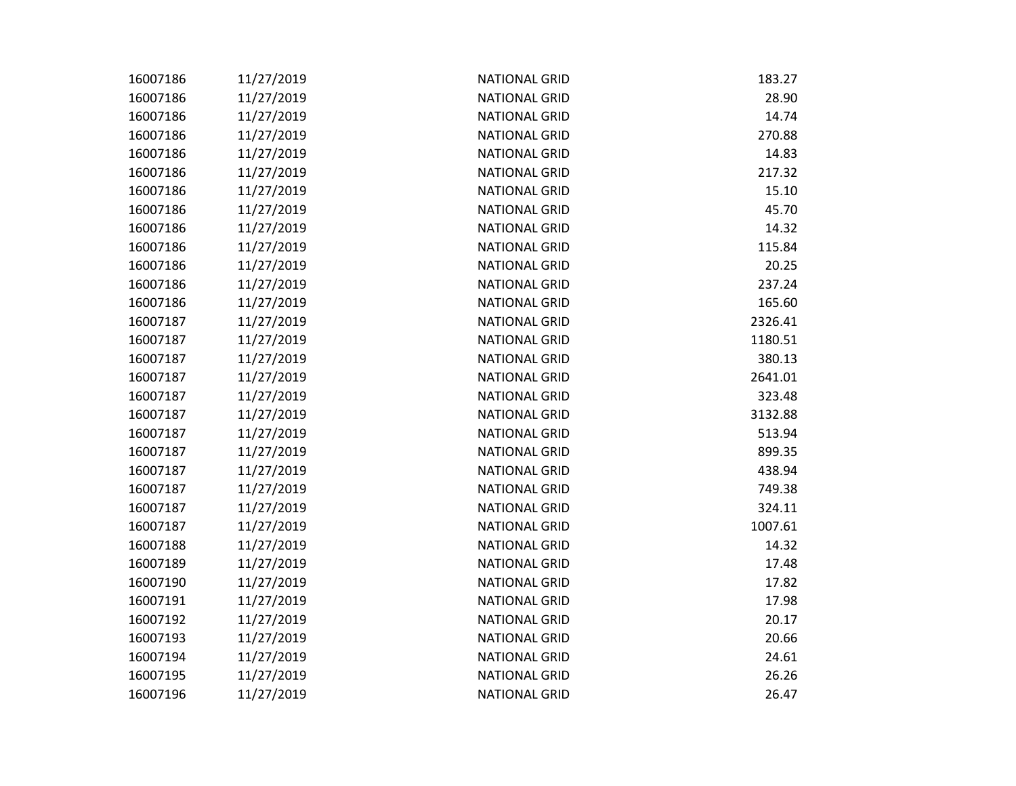| 16007186 | 11/27/2019 | <b>NATIONAL GRID</b> | 183.27  |
|----------|------------|----------------------|---------|
| 16007186 | 11/27/2019 | <b>NATIONAL GRID</b> | 28.90   |
| 16007186 | 11/27/2019 | <b>NATIONAL GRID</b> | 14.74   |
| 16007186 | 11/27/2019 | <b>NATIONAL GRID</b> | 270.88  |
| 16007186 | 11/27/2019 | <b>NATIONAL GRID</b> | 14.83   |
| 16007186 | 11/27/2019 | <b>NATIONAL GRID</b> | 217.32  |
| 16007186 | 11/27/2019 | <b>NATIONAL GRID</b> | 15.10   |
| 16007186 | 11/27/2019 | <b>NATIONAL GRID</b> | 45.70   |
| 16007186 | 11/27/2019 | <b>NATIONAL GRID</b> | 14.32   |
| 16007186 | 11/27/2019 | <b>NATIONAL GRID</b> | 115.84  |
| 16007186 | 11/27/2019 | <b>NATIONAL GRID</b> | 20.25   |
| 16007186 | 11/27/2019 | <b>NATIONAL GRID</b> | 237.24  |
| 16007186 | 11/27/2019 | <b>NATIONAL GRID</b> | 165.60  |
| 16007187 | 11/27/2019 | <b>NATIONAL GRID</b> | 2326.41 |
| 16007187 | 11/27/2019 | <b>NATIONAL GRID</b> | 1180.51 |
| 16007187 | 11/27/2019 | <b>NATIONAL GRID</b> | 380.13  |
| 16007187 | 11/27/2019 | <b>NATIONAL GRID</b> | 2641.01 |
| 16007187 | 11/27/2019 | <b>NATIONAL GRID</b> | 323.48  |
| 16007187 | 11/27/2019 | <b>NATIONAL GRID</b> | 3132.88 |
| 16007187 | 11/27/2019 | <b>NATIONAL GRID</b> | 513.94  |
| 16007187 | 11/27/2019 | <b>NATIONAL GRID</b> | 899.35  |
| 16007187 | 11/27/2019 | <b>NATIONAL GRID</b> | 438.94  |
| 16007187 | 11/27/2019 | <b>NATIONAL GRID</b> | 749.38  |
| 16007187 | 11/27/2019 | <b>NATIONAL GRID</b> | 324.11  |
| 16007187 | 11/27/2019 | <b>NATIONAL GRID</b> | 1007.61 |
| 16007188 | 11/27/2019 | <b>NATIONAL GRID</b> | 14.32   |
| 16007189 | 11/27/2019 | <b>NATIONAL GRID</b> | 17.48   |
| 16007190 | 11/27/2019 | <b>NATIONAL GRID</b> | 17.82   |
| 16007191 | 11/27/2019 | <b>NATIONAL GRID</b> | 17.98   |
| 16007192 | 11/27/2019 | <b>NATIONAL GRID</b> | 20.17   |
| 16007193 | 11/27/2019 | <b>NATIONAL GRID</b> | 20.66   |
| 16007194 | 11/27/2019 | <b>NATIONAL GRID</b> | 24.61   |
| 16007195 | 11/27/2019 | <b>NATIONAL GRID</b> | 26.26   |
| 16007196 | 11/27/2019 | <b>NATIONAL GRID</b> | 26.47   |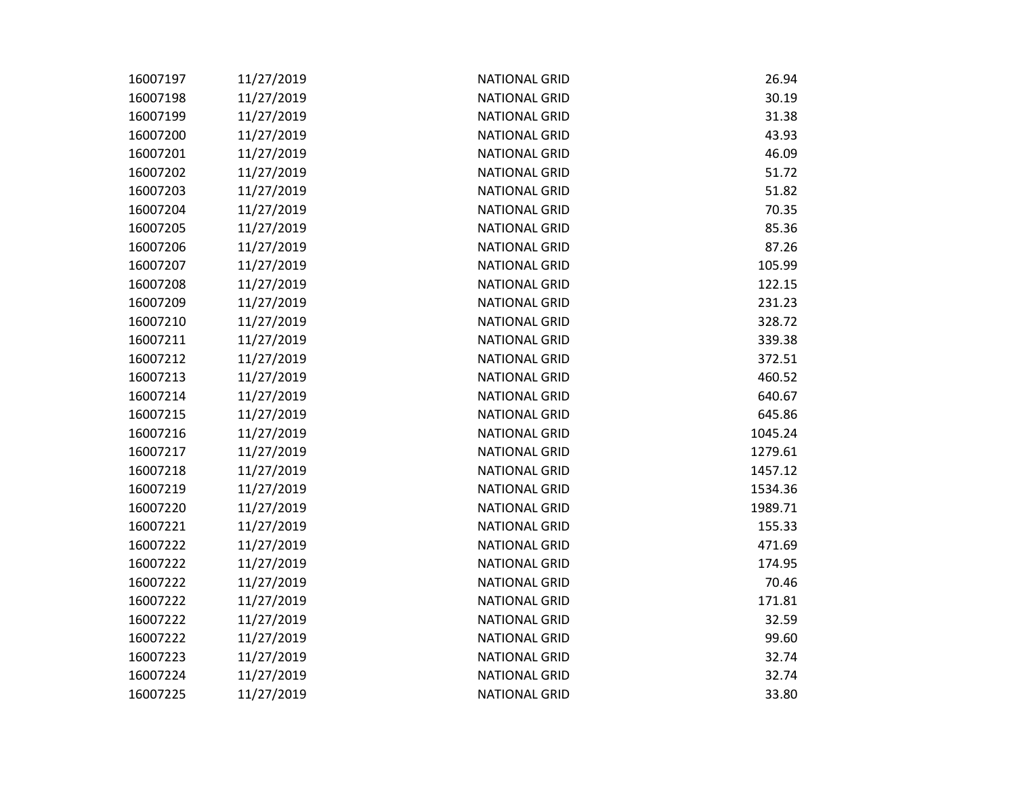| 16007197 | 11/27/2019 | <b>NATIONAL GRID</b> | 26.94   |
|----------|------------|----------------------|---------|
| 16007198 | 11/27/2019 | <b>NATIONAL GRID</b> | 30.19   |
| 16007199 | 11/27/2019 | <b>NATIONAL GRID</b> | 31.38   |
| 16007200 | 11/27/2019 | <b>NATIONAL GRID</b> | 43.93   |
| 16007201 | 11/27/2019 | <b>NATIONAL GRID</b> | 46.09   |
| 16007202 | 11/27/2019 | <b>NATIONAL GRID</b> | 51.72   |
| 16007203 | 11/27/2019 | <b>NATIONAL GRID</b> | 51.82   |
| 16007204 | 11/27/2019 | <b>NATIONAL GRID</b> | 70.35   |
| 16007205 | 11/27/2019 | <b>NATIONAL GRID</b> | 85.36   |
| 16007206 | 11/27/2019 | <b>NATIONAL GRID</b> | 87.26   |
| 16007207 | 11/27/2019 | <b>NATIONAL GRID</b> | 105.99  |
| 16007208 | 11/27/2019 | <b>NATIONAL GRID</b> | 122.15  |
| 16007209 | 11/27/2019 | <b>NATIONAL GRID</b> | 231.23  |
| 16007210 | 11/27/2019 | <b>NATIONAL GRID</b> | 328.72  |
| 16007211 | 11/27/2019 | <b>NATIONAL GRID</b> | 339.38  |
| 16007212 | 11/27/2019 | <b>NATIONAL GRID</b> | 372.51  |
| 16007213 | 11/27/2019 | <b>NATIONAL GRID</b> | 460.52  |
| 16007214 | 11/27/2019 | <b>NATIONAL GRID</b> | 640.67  |
| 16007215 | 11/27/2019 | <b>NATIONAL GRID</b> | 645.86  |
| 16007216 | 11/27/2019 | <b>NATIONAL GRID</b> | 1045.24 |
| 16007217 | 11/27/2019 | <b>NATIONAL GRID</b> | 1279.61 |
| 16007218 | 11/27/2019 | <b>NATIONAL GRID</b> | 1457.12 |
| 16007219 | 11/27/2019 | <b>NATIONAL GRID</b> | 1534.36 |
| 16007220 | 11/27/2019 | <b>NATIONAL GRID</b> | 1989.71 |
| 16007221 | 11/27/2019 | <b>NATIONAL GRID</b> | 155.33  |
| 16007222 | 11/27/2019 | <b>NATIONAL GRID</b> | 471.69  |
| 16007222 | 11/27/2019 | <b>NATIONAL GRID</b> | 174.95  |
| 16007222 | 11/27/2019 | <b>NATIONAL GRID</b> | 70.46   |
| 16007222 | 11/27/2019 | <b>NATIONAL GRID</b> | 171.81  |
| 16007222 | 11/27/2019 | <b>NATIONAL GRID</b> | 32.59   |
| 16007222 | 11/27/2019 | <b>NATIONAL GRID</b> | 99.60   |
| 16007223 | 11/27/2019 | <b>NATIONAL GRID</b> | 32.74   |
| 16007224 | 11/27/2019 | <b>NATIONAL GRID</b> | 32.74   |
| 16007225 | 11/27/2019 | <b>NATIONAL GRID</b> | 33.80   |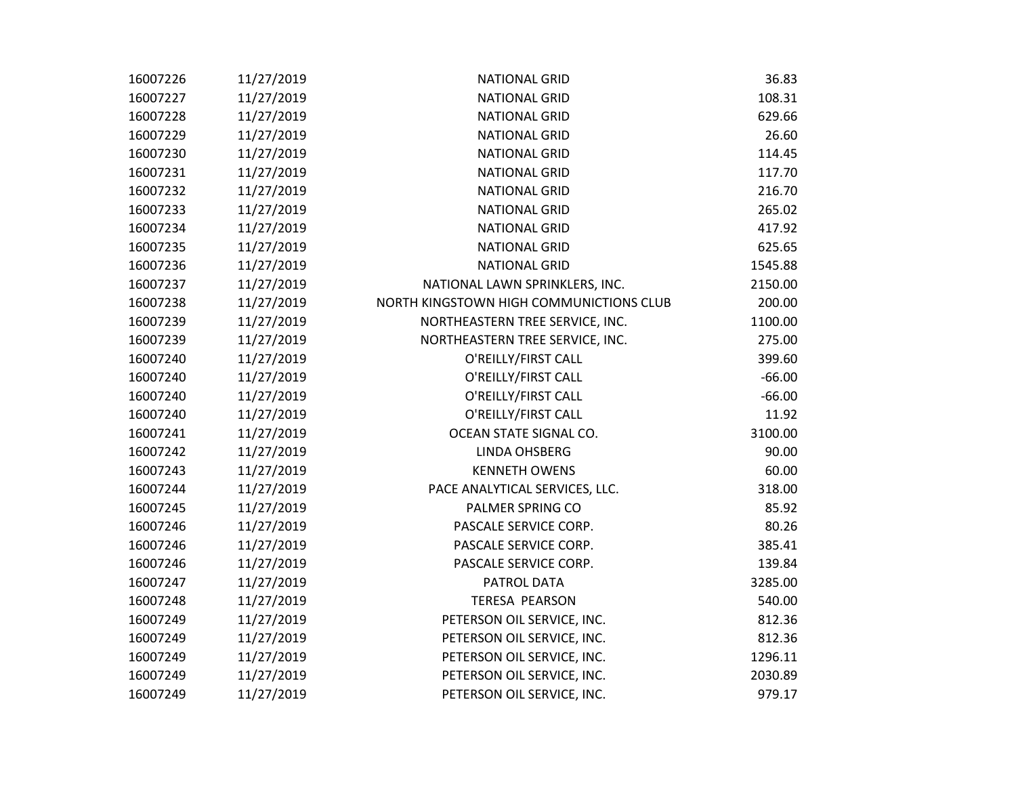| 16007226 | 11/27/2019 | <b>NATIONAL GRID</b>                    | 36.83    |
|----------|------------|-----------------------------------------|----------|
| 16007227 | 11/27/2019 | <b>NATIONAL GRID</b>                    | 108.31   |
| 16007228 | 11/27/2019 | <b>NATIONAL GRID</b>                    | 629.66   |
| 16007229 | 11/27/2019 | <b>NATIONAL GRID</b>                    | 26.60    |
| 16007230 | 11/27/2019 | <b>NATIONAL GRID</b>                    | 114.45   |
| 16007231 | 11/27/2019 | <b>NATIONAL GRID</b>                    | 117.70   |
| 16007232 | 11/27/2019 | <b>NATIONAL GRID</b>                    | 216.70   |
| 16007233 | 11/27/2019 | <b>NATIONAL GRID</b>                    | 265.02   |
| 16007234 | 11/27/2019 | <b>NATIONAL GRID</b>                    | 417.92   |
| 16007235 | 11/27/2019 | <b>NATIONAL GRID</b>                    | 625.65   |
| 16007236 | 11/27/2019 | <b>NATIONAL GRID</b>                    | 1545.88  |
| 16007237 | 11/27/2019 | NATIONAL LAWN SPRINKLERS, INC.          | 2150.00  |
| 16007238 | 11/27/2019 | NORTH KINGSTOWN HIGH COMMUNICTIONS CLUB | 200.00   |
| 16007239 | 11/27/2019 | NORTHEASTERN TREE SERVICE, INC.         | 1100.00  |
| 16007239 | 11/27/2019 | NORTHEASTERN TREE SERVICE, INC.         | 275.00   |
| 16007240 | 11/27/2019 | O'REILLY/FIRST CALL                     | 399.60   |
| 16007240 | 11/27/2019 | O'REILLY/FIRST CALL                     | $-66.00$ |
| 16007240 | 11/27/2019 | O'REILLY/FIRST CALL                     | $-66.00$ |
| 16007240 | 11/27/2019 | O'REILLY/FIRST CALL                     | 11.92    |
| 16007241 | 11/27/2019 | OCEAN STATE SIGNAL CO.                  | 3100.00  |
| 16007242 | 11/27/2019 | <b>LINDA OHSBERG</b>                    | 90.00    |
| 16007243 | 11/27/2019 | <b>KENNETH OWENS</b>                    | 60.00    |
| 16007244 | 11/27/2019 | PACE ANALYTICAL SERVICES, LLC.          | 318.00   |
| 16007245 | 11/27/2019 | PALMER SPRING CO                        | 85.92    |
| 16007246 | 11/27/2019 | PASCALE SERVICE CORP.                   | 80.26    |
| 16007246 | 11/27/2019 | PASCALE SERVICE CORP.                   | 385.41   |
| 16007246 | 11/27/2019 | PASCALE SERVICE CORP.                   | 139.84   |
| 16007247 | 11/27/2019 | PATROL DATA                             | 3285.00  |
| 16007248 | 11/27/2019 | <b>TERESA PEARSON</b>                   | 540.00   |
| 16007249 | 11/27/2019 | PETERSON OIL SERVICE, INC.              | 812.36   |
| 16007249 | 11/27/2019 | PETERSON OIL SERVICE, INC.              | 812.36   |
| 16007249 | 11/27/2019 | PETERSON OIL SERVICE, INC.              | 1296.11  |
| 16007249 | 11/27/2019 | PETERSON OIL SERVICE, INC.              | 2030.89  |
| 16007249 | 11/27/2019 | PETERSON OIL SERVICE, INC.              | 979.17   |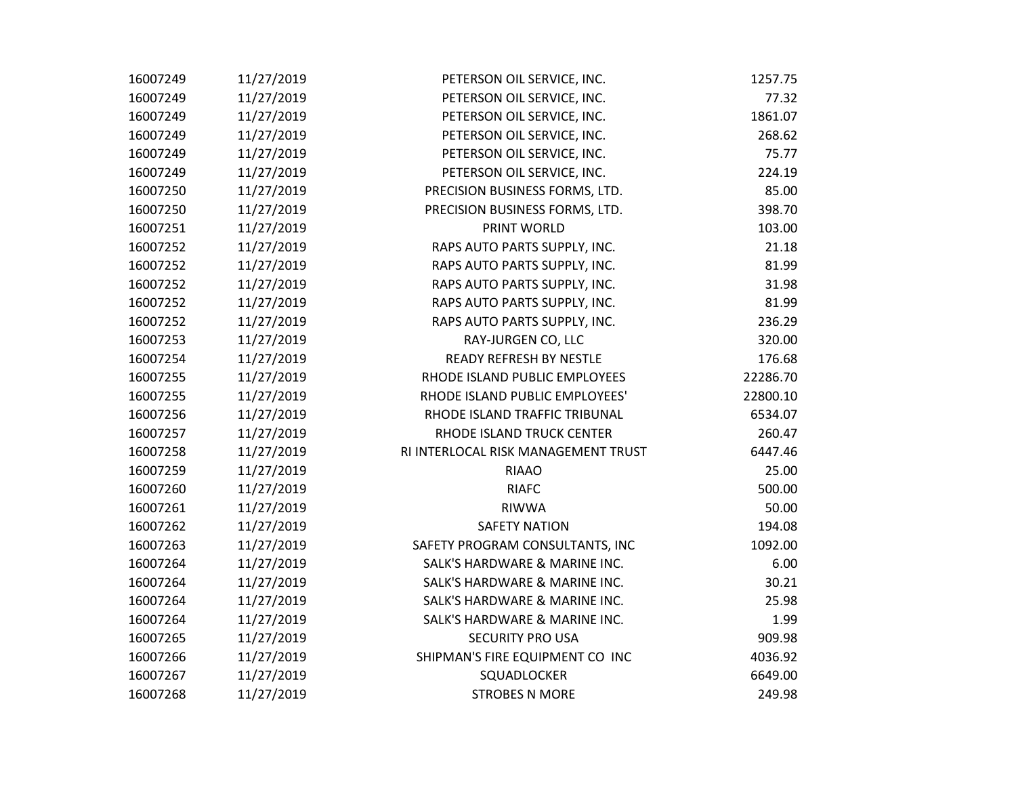| 16007249 | 11/27/2019 | PETERSON OIL SERVICE, INC.          | 1257.75  |
|----------|------------|-------------------------------------|----------|
| 16007249 | 11/27/2019 | PETERSON OIL SERVICE, INC.          | 77.32    |
| 16007249 | 11/27/2019 | PETERSON OIL SERVICE, INC.          | 1861.07  |
| 16007249 | 11/27/2019 | PETERSON OIL SERVICE, INC.          | 268.62   |
| 16007249 | 11/27/2019 | PETERSON OIL SERVICE, INC.          | 75.77    |
| 16007249 | 11/27/2019 | PETERSON OIL SERVICE, INC.          | 224.19   |
| 16007250 | 11/27/2019 | PRECISION BUSINESS FORMS, LTD.      | 85.00    |
| 16007250 | 11/27/2019 | PRECISION BUSINESS FORMS, LTD.      | 398.70   |
| 16007251 | 11/27/2019 | PRINT WORLD                         | 103.00   |
| 16007252 | 11/27/2019 | RAPS AUTO PARTS SUPPLY, INC.        | 21.18    |
| 16007252 | 11/27/2019 | RAPS AUTO PARTS SUPPLY, INC.        | 81.99    |
| 16007252 | 11/27/2019 | RAPS AUTO PARTS SUPPLY, INC.        | 31.98    |
| 16007252 | 11/27/2019 | RAPS AUTO PARTS SUPPLY, INC.        | 81.99    |
| 16007252 | 11/27/2019 | RAPS AUTO PARTS SUPPLY, INC.        | 236.29   |
| 16007253 | 11/27/2019 | RAY-JURGEN CO, LLC                  | 320.00   |
| 16007254 | 11/27/2019 | <b>READY REFRESH BY NESTLE</b>      | 176.68   |
| 16007255 | 11/27/2019 | RHODE ISLAND PUBLIC EMPLOYEES       | 22286.70 |
| 16007255 | 11/27/2019 | RHODE ISLAND PUBLIC EMPLOYEES'      | 22800.10 |
| 16007256 | 11/27/2019 | RHODE ISLAND TRAFFIC TRIBUNAL       | 6534.07  |
| 16007257 | 11/27/2019 | RHODE ISLAND TRUCK CENTER           | 260.47   |
| 16007258 | 11/27/2019 | RI INTERLOCAL RISK MANAGEMENT TRUST | 6447.46  |
| 16007259 | 11/27/2019 | <b>RIAAO</b>                        | 25.00    |
| 16007260 | 11/27/2019 | <b>RIAFC</b>                        | 500.00   |
| 16007261 | 11/27/2019 | <b>RIWWA</b>                        | 50.00    |
| 16007262 | 11/27/2019 | <b>SAFETY NATION</b>                | 194.08   |
| 16007263 | 11/27/2019 | SAFETY PROGRAM CONSULTANTS, INC     | 1092.00  |
| 16007264 | 11/27/2019 | SALK'S HARDWARE & MARINE INC.       | 6.00     |
| 16007264 | 11/27/2019 | SALK'S HARDWARE & MARINE INC.       | 30.21    |
| 16007264 | 11/27/2019 | SALK'S HARDWARE & MARINE INC.       | 25.98    |
| 16007264 | 11/27/2019 | SALK'S HARDWARE & MARINE INC.       | 1.99     |
| 16007265 | 11/27/2019 | <b>SECURITY PRO USA</b>             | 909.98   |
| 16007266 | 11/27/2019 | SHIPMAN'S FIRE EQUIPMENT CO INC     | 4036.92  |
| 16007267 | 11/27/2019 | SQUADLOCKER                         | 6649.00  |
| 16007268 | 11/27/2019 | <b>STROBES N MORE</b>               | 249.98   |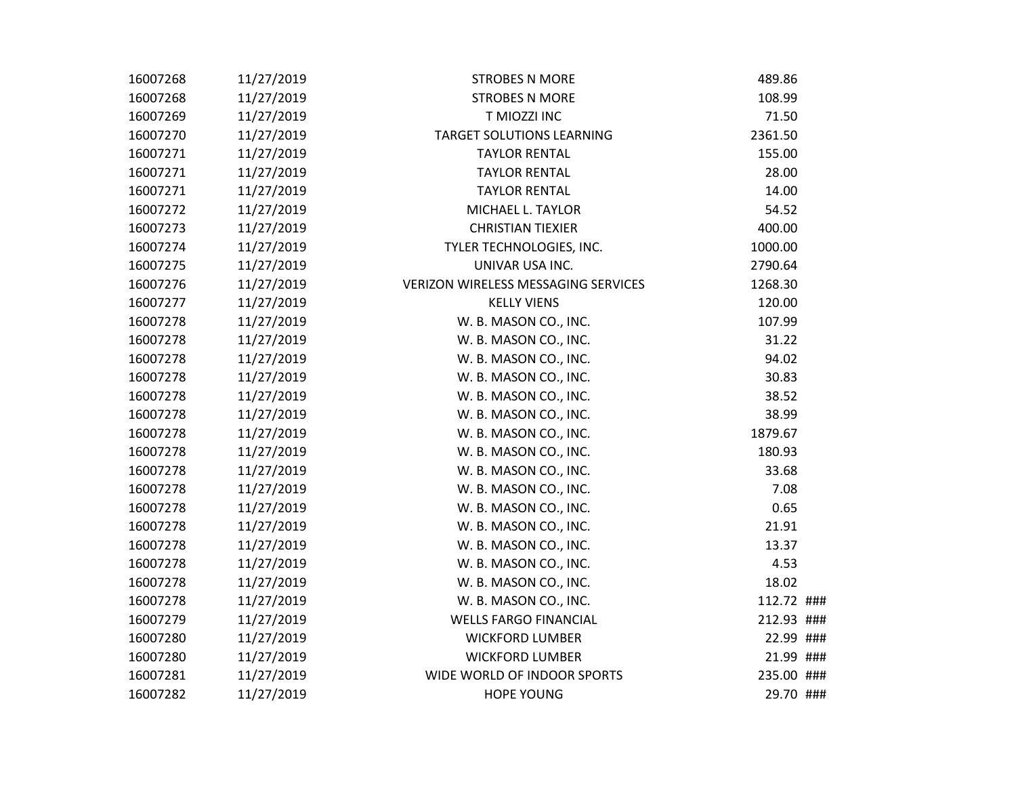| 16007268 | 11/27/2019 | <b>STROBES N MORE</b>                      | 489.86     |
|----------|------------|--------------------------------------------|------------|
| 16007268 | 11/27/2019 | <b>STROBES N MORE</b>                      | 108.99     |
| 16007269 | 11/27/2019 | T MIOZZI INC                               | 71.50      |
| 16007270 | 11/27/2019 | <b>TARGET SOLUTIONS LEARNING</b>           | 2361.50    |
| 16007271 | 11/27/2019 | <b>TAYLOR RENTAL</b>                       | 155.00     |
| 16007271 | 11/27/2019 | <b>TAYLOR RENTAL</b>                       | 28.00      |
| 16007271 | 11/27/2019 | <b>TAYLOR RENTAL</b>                       | 14.00      |
| 16007272 | 11/27/2019 | MICHAEL L. TAYLOR                          | 54.52      |
| 16007273 | 11/27/2019 | <b>CHRISTIAN TIEXIER</b>                   | 400.00     |
| 16007274 | 11/27/2019 | TYLER TECHNOLOGIES, INC.                   | 1000.00    |
| 16007275 | 11/27/2019 | UNIVAR USA INC.                            | 2790.64    |
| 16007276 | 11/27/2019 | <b>VERIZON WIRELESS MESSAGING SERVICES</b> | 1268.30    |
| 16007277 | 11/27/2019 | <b>KELLY VIENS</b>                         | 120.00     |
| 16007278 | 11/27/2019 | W. B. MASON CO., INC.                      | 107.99     |
| 16007278 | 11/27/2019 | W. B. MASON CO., INC.                      | 31.22      |
| 16007278 | 11/27/2019 | W. B. MASON CO., INC.                      | 94.02      |
| 16007278 | 11/27/2019 | W. B. MASON CO., INC.                      | 30.83      |
| 16007278 | 11/27/2019 | W. B. MASON CO., INC.                      | 38.52      |
| 16007278 | 11/27/2019 | W. B. MASON CO., INC.                      | 38.99      |
| 16007278 | 11/27/2019 | W. B. MASON CO., INC.                      | 1879.67    |
| 16007278 | 11/27/2019 | W. B. MASON CO., INC.                      | 180.93     |
| 16007278 | 11/27/2019 | W. B. MASON CO., INC.                      | 33.68      |
| 16007278 | 11/27/2019 | W. B. MASON CO., INC.                      | 7.08       |
| 16007278 | 11/27/2019 | W. B. MASON CO., INC.                      | 0.65       |
| 16007278 | 11/27/2019 | W. B. MASON CO., INC.                      | 21.91      |
| 16007278 | 11/27/2019 | W. B. MASON CO., INC.                      | 13.37      |
| 16007278 | 11/27/2019 | W. B. MASON CO., INC.                      | 4.53       |
| 16007278 | 11/27/2019 | W. B. MASON CO., INC.                      | 18.02      |
| 16007278 | 11/27/2019 | W. B. MASON CO., INC.                      | 112.72 ### |
| 16007279 | 11/27/2019 | <b>WELLS FARGO FINANCIAL</b>               | 212.93 ### |
| 16007280 | 11/27/2019 | <b>WICKFORD LUMBER</b>                     | 22.99 ###  |
| 16007280 | 11/27/2019 | <b>WICKFORD LUMBER</b>                     | 21.99 ###  |
| 16007281 | 11/27/2019 | WIDE WORLD OF INDOOR SPORTS                | 235.00 ### |
| 16007282 | 11/27/2019 | <b>HOPE YOUNG</b>                          | 29.70 ###  |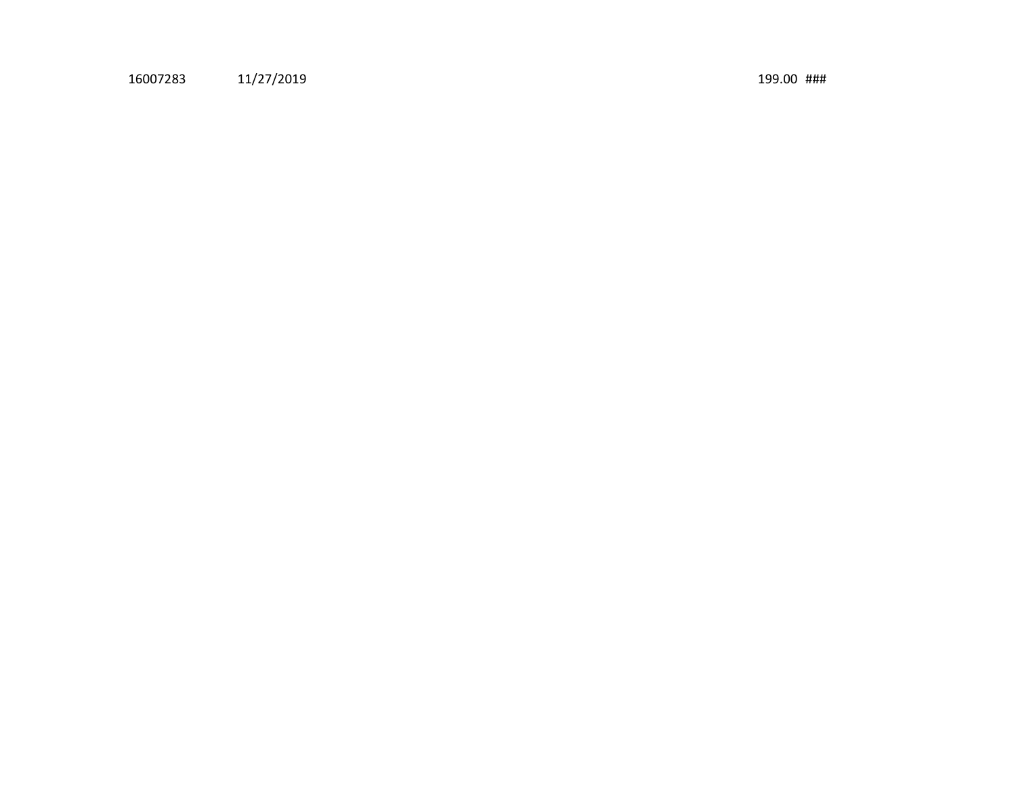11/27/2019 199.00 ###